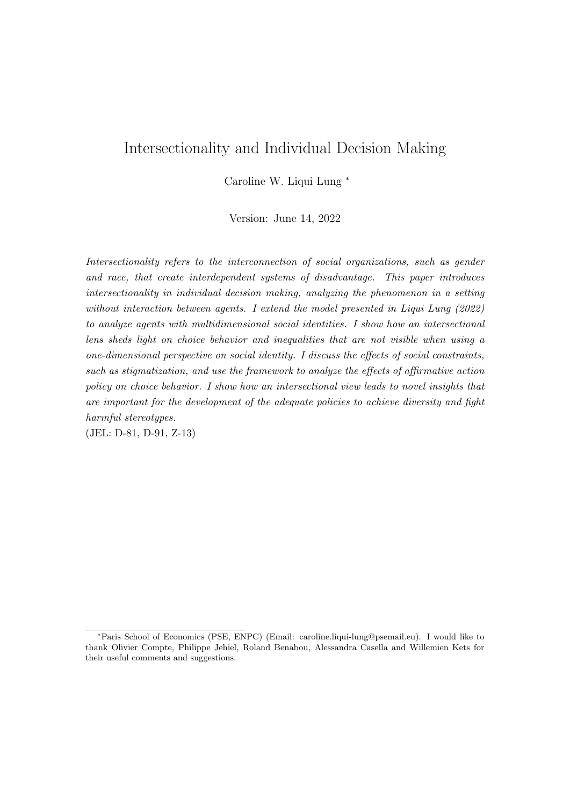# Intersectionality and Individual Decision Making

Caroline W. Liqui Lung <sup>∗</sup>

Version: June 14, 2022

Intersectionality refers to the interconnection of social organizations, such as gender and race, that create interdependent systems of disadvantage. This paper introduces intersectionality in individual decision making, analyzing the phenomenon in a setting without interaction between agents. I extend the model presented in Liqui Lung (2022) to analyze agents with multidimensional social identities. I show how an intersectional lens sheds light on choice behavior and inequalities that are not visible when using a one-dimensional perspective on social identity. I discuss the effects of social constraints, such as stigmatization, and use the framework to analyze the effects of affirmative action policy on choice behavior. I show how an intersectional view leads to novel insights that are important for the development of the adequate policies to achieve diversity and fight harmful stereotypes.

(JEL: D-81, D-91, Z-13)

<sup>∗</sup>Paris School of Economics (PSE, ENPC) (Email: caroline.liqui-lung@psemail.eu). I would like to thank Olivier Compte, Philippe Jehiel, Roland Benabou, Alessandra Casella and Willemien Kets for their useful comments and suggestions.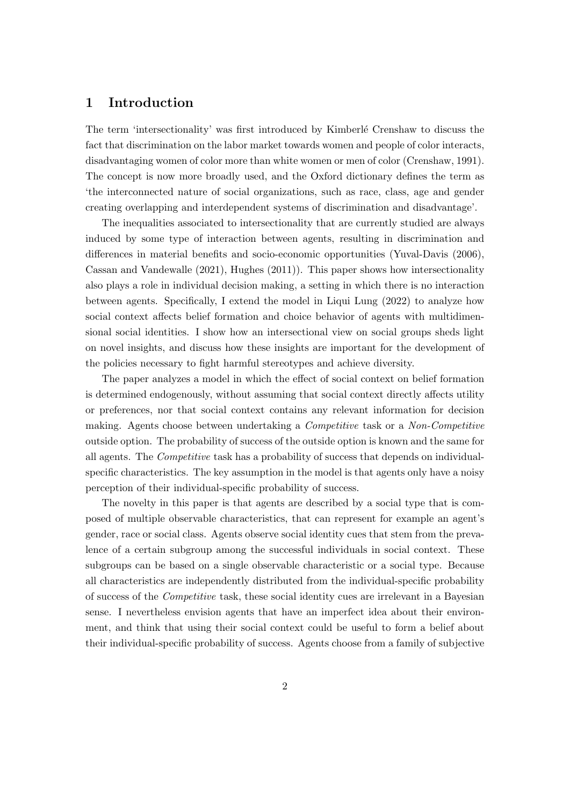### 1 Introduction

The term 'intersectionality' was first introduced by Kimberlé Crenshaw to discuss the fact that discrimination on the labor market towards women and people of color interacts, disadvantaging women of color more than white women or men of color (Crenshaw, 1991). The concept is now more broadly used, and the Oxford dictionary defines the term as 'the interconnected nature of social organizations, such as race, class, age and gender creating overlapping and interdependent systems of discrimination and disadvantage'.

The inequalities associated to intersectionality that are currently studied are always induced by some type of interaction between agents, resulting in discrimination and differences in material benefits and socio-economic opportunities (Yuval-Davis (2006), Cassan and Vandewalle (2021), Hughes (2011)). This paper shows how intersectionality also plays a role in individual decision making, a setting in which there is no interaction between agents. Specifically, I extend the model in Liqui Lung (2022) to analyze how social context affects belief formation and choice behavior of agents with multidimensional social identities. I show how an intersectional view on social groups sheds light on novel insights, and discuss how these insights are important for the development of the policies necessary to fight harmful stereotypes and achieve diversity.

The paper analyzes a model in which the effect of social context on belief formation is determined endogenously, without assuming that social context directly affects utility or preferences, nor that social context contains any relevant information for decision making. Agents choose between undertaking a Competitive task or a Non-Competitive outside option. The probability of success of the outside option is known and the same for all agents. The Competitive task has a probability of success that depends on individualspecific characteristics. The key assumption in the model is that agents only have a noisy perception of their individual-specific probability of success.

The novelty in this paper is that agents are described by a social type that is composed of multiple observable characteristics, that can represent for example an agent's gender, race or social class. Agents observe social identity cues that stem from the prevalence of a certain subgroup among the successful individuals in social context. These subgroups can be based on a single observable characteristic or a social type. Because all characteristics are independently distributed from the individual-specific probability of success of the Competitive task, these social identity cues are irrelevant in a Bayesian sense. I nevertheless envision agents that have an imperfect idea about their environment, and think that using their social context could be useful to form a belief about their individual-specific probability of success. Agents choose from a family of subjective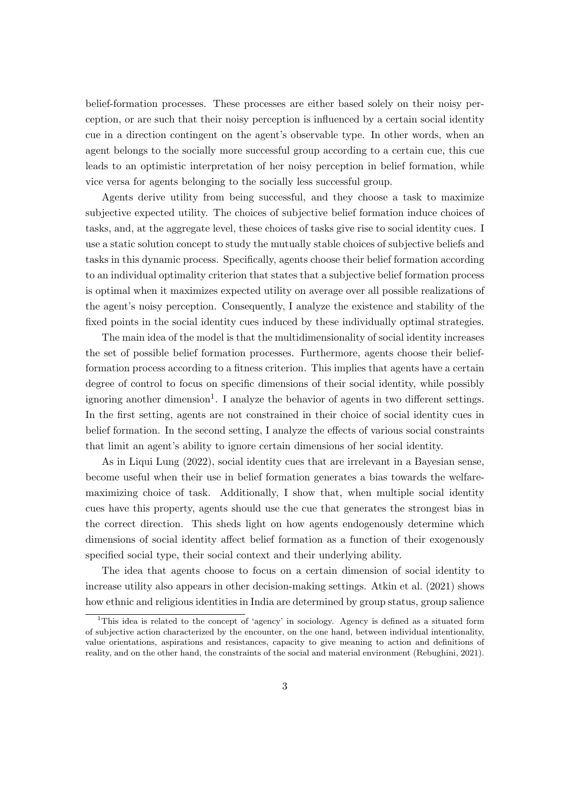belief-formation processes. These processes are either based solely on their noisy perception, or are such that their noisy perception is influenced by a certain social identity cue in a direction contingent on the agent's observable type. In other words, when an agent belongs to the socially more successful group according to a certain cue, this cue leads to an optimistic interpretation of her noisy perception in belief formation, while vice versa for agents belonging to the socially less successful group.

Agents derive utility from being successful, and they choose a task to maximize subjective expected utility. The choices of subjective belief formation induce choices of tasks, and, at the aggregate level, these choices of tasks give rise to social identity cues. I use a static solution concept to study the mutually stable choices of subjective beliefs and tasks in this dynamic process. Specifically, agents choose their belief formation according to an individual optimality criterion that states that a subjective belief formation process is optimal when it maximizes expected utility on average over all possible realizations of the agent's noisy perception. Consequently, I analyze the existence and stability of the fixed points in the social identity cues induced by these individually optimal strategies.

The main idea of the model is that the multidimensionality of social identity increases the set of possible belief formation processes. Furthermore, agents choose their beliefformation process according to a fitness criterion. This implies that agents have a certain degree of control to focus on specific dimensions of their social identity, while possibly ignoring another dimension<sup>1</sup>. I analyze the behavior of agents in two different settings. In the first setting, agents are not constrained in their choice of social identity cues in belief formation. In the second setting, I analyze the effects of various social constraints that limit an agent's ability to ignore certain dimensions of her social identity.

As in Liqui Lung (2022), social identity cues that are irrelevant in a Bayesian sense, become useful when their use in belief formation generates a bias towards the welfaremaximizing choice of task. Additionally, I show that, when multiple social identity cues have this property, agents should use the cue that generates the strongest bias in the correct direction. This sheds light on how agents endogenously determine which dimensions of social identity affect belief formation as a function of their exogenously specified social type, their social context and their underlying ability.

The idea that agents choose to focus on a certain dimension of social identity to increase utility also appears in other decision-making settings. Atkin et al. (2021) shows how ethnic and religious identities in India are determined by group status, group salience

<sup>1</sup>This idea is related to the concept of 'agency' in sociology. Agency is defined as a situated form of subjective action characterized by the encounter, on the one hand, between individual intentionality, value orientations, aspirations and resistances, capacity to give meaning to action and definitions of reality, and on the other hand, the constraints of the social and material environment (Rebughini, 2021).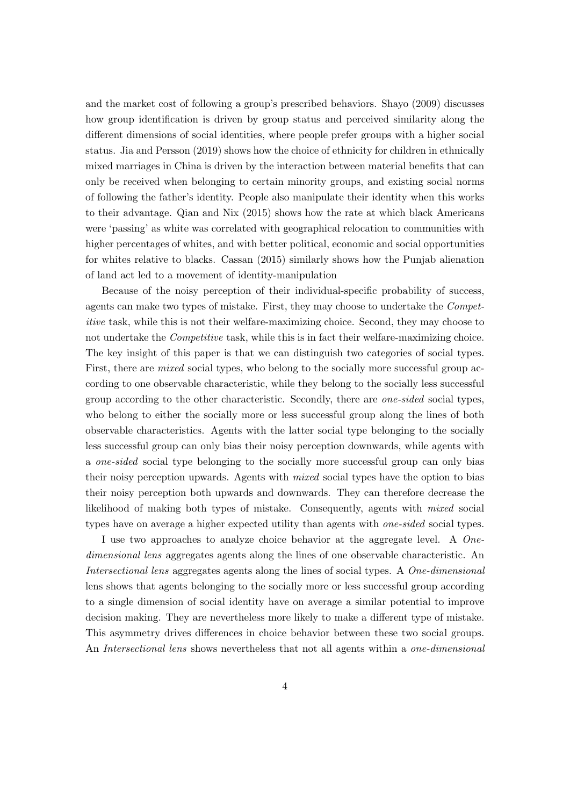and the market cost of following a group's prescribed behaviors. Shayo (2009) discusses how group identification is driven by group status and perceived similarity along the different dimensions of social identities, where people prefer groups with a higher social status. Jia and Persson (2019) shows how the choice of ethnicity for children in ethnically mixed marriages in China is driven by the interaction between material benefits that can only be received when belonging to certain minority groups, and existing social norms of following the father's identity. People also manipulate their identity when this works to their advantage. Qian and Nix (2015) shows how the rate at which black Americans were 'passing' as white was correlated with geographical relocation to communities with higher percentages of whites, and with better political, economic and social opportunities for whites relative to blacks. Cassan (2015) similarly shows how the Punjab alienation of land act led to a movement of identity-manipulation

Because of the noisy perception of their individual-specific probability of success, agents can make two types of mistake. First, they may choose to undertake the Competitive task, while this is not their welfare-maximizing choice. Second, they may choose to not undertake the *Competitive* task, while this is in fact their welfare-maximizing choice. The key insight of this paper is that we can distinguish two categories of social types. First, there are *mixed* social types, who belong to the socially more successful group according to one observable characteristic, while they belong to the socially less successful group according to the other characteristic. Secondly, there are one-sided social types, who belong to either the socially more or less successful group along the lines of both observable characteristics. Agents with the latter social type belonging to the socially less successful group can only bias their noisy perception downwards, while agents with a one-sided social type belonging to the socially more successful group can only bias their noisy perception upwards. Agents with mixed social types have the option to bias their noisy perception both upwards and downwards. They can therefore decrease the likelihood of making both types of mistake. Consequently, agents with mixed social types have on average a higher expected utility than agents with *one-sided* social types.

I use two approaches to analyze choice behavior at the aggregate level. A Onedimensional lens aggregates agents along the lines of one observable characteristic. An Intersectional lens aggregates agents along the lines of social types. A One-dimensional lens shows that agents belonging to the socially more or less successful group according to a single dimension of social identity have on average a similar potential to improve decision making. They are nevertheless more likely to make a different type of mistake. This asymmetry drives differences in choice behavior between these two social groups. An Intersectional lens shows nevertheless that not all agents within a one-dimensional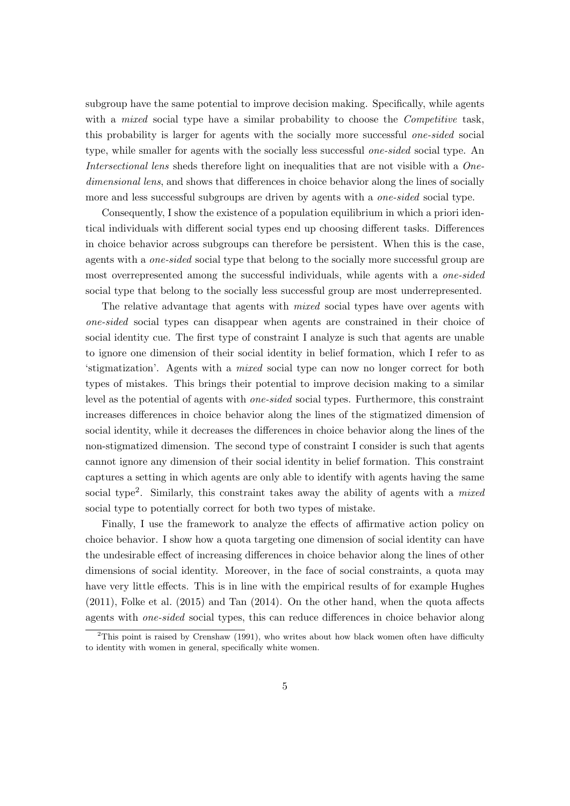subgroup have the same potential to improve decision making. Specifically, while agents with a *mixed* social type have a similar probability to choose the *Competitive* task, this probability is larger for agents with the socially more successful one-sided social type, while smaller for agents with the socially less successful *one-sided* social type. An Intersectional lens sheds therefore light on inequalities that are not visible with a Onedimensional lens, and shows that differences in choice behavior along the lines of socially more and less successful subgroups are driven by agents with a *one-sided* social type.

Consequently, I show the existence of a population equilibrium in which a priori identical individuals with different social types end up choosing different tasks. Differences in choice behavior across subgroups can therefore be persistent. When this is the case, agents with a one-sided social type that belong to the socially more successful group are most overrepresented among the successful individuals, while agents with a *one-sided* social type that belong to the socially less successful group are most underrepresented.

The relative advantage that agents with *mixed* social types have over agents with one-sided social types can disappear when agents are constrained in their choice of social identity cue. The first type of constraint I analyze is such that agents are unable to ignore one dimension of their social identity in belief formation, which I refer to as 'stigmatization'. Agents with a mixed social type can now no longer correct for both types of mistakes. This brings their potential to improve decision making to a similar level as the potential of agents with one-sided social types. Furthermore, this constraint increases differences in choice behavior along the lines of the stigmatized dimension of social identity, while it decreases the differences in choice behavior along the lines of the non-stigmatized dimension. The second type of constraint I consider is such that agents cannot ignore any dimension of their social identity in belief formation. This constraint captures a setting in which agents are only able to identify with agents having the same social type<sup>2</sup>. Similarly, this constraint takes away the ability of agents with a *mixed* social type to potentially correct for both two types of mistake.

Finally, I use the framework to analyze the effects of affirmative action policy on choice behavior. I show how a quota targeting one dimension of social identity can have the undesirable effect of increasing differences in choice behavior along the lines of other dimensions of social identity. Moreover, in the face of social constraints, a quota may have very little effects. This is in line with the empirical results of for example Hughes (2011), Folke et al. (2015) and Tan (2014). On the other hand, when the quota affects agents with one-sided social types, this can reduce differences in choice behavior along

<sup>&</sup>lt;sup>2</sup>This point is raised by Crenshaw (1991), who writes about how black women often have difficulty to identity with women in general, specifically white women.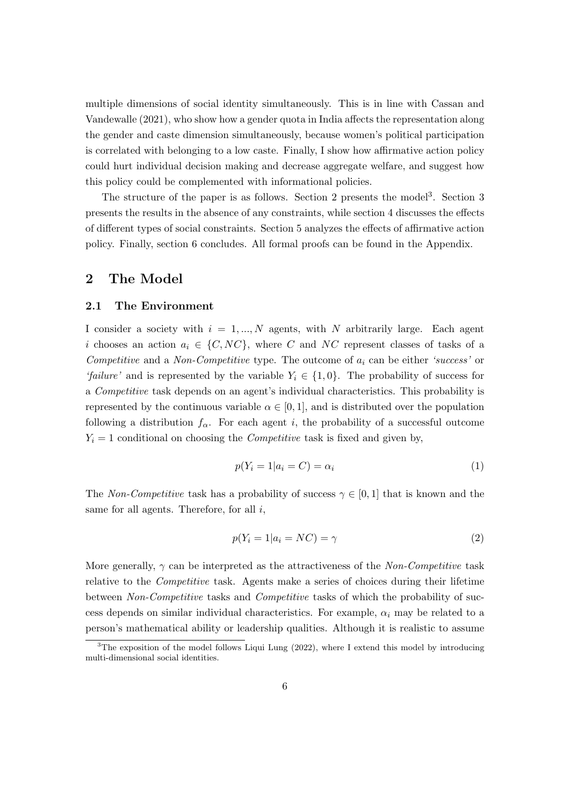multiple dimensions of social identity simultaneously. This is in line with Cassan and Vandewalle (2021), who show how a gender quota in India affects the representation along the gender and caste dimension simultaneously, because women's political participation is correlated with belonging to a low caste. Finally, I show how affirmative action policy could hurt individual decision making and decrease aggregate welfare, and suggest how this policy could be complemented with informational policies.

The structure of the paper is as follows. Section 2 presents the model<sup>3</sup>. Section 3 presents the results in the absence of any constraints, while section 4 discusses the effects of different types of social constraints. Section 5 analyzes the effects of affirmative action policy. Finally, section 6 concludes. All formal proofs can be found in the Appendix.

### 2 The Model

### 2.1 The Environment

I consider a society with  $i = 1, ..., N$  agents, with N arbitrarily large. Each agent i chooses an action  $a_i \in \{C, NC\}$ , where C and NC represent classes of tasks of a Competitive and a Non-Competitive type. The outcome of  $a_i$  can be either 'success' or 'failure' and is represented by the variable  $Y_i \in \{1,0\}$ . The probability of success for a Competitive task depends on an agent's individual characteristics. This probability is represented by the continuous variable  $\alpha \in [0,1]$ , and is distributed over the population following a distribution  $f_\alpha$ . For each agent i, the probability of a successful outcome  $Y_i = 1$  conditional on choosing the *Competitive* task is fixed and given by,

$$
p(Y_i = 1 | a_i = C) = \alpha_i \tag{1}
$$

The Non-Competitive task has a probability of success  $\gamma \in [0, 1]$  that is known and the same for all agents. Therefore, for all  $i$ ,

$$
p(Y_i = 1 | a_i = NC) = \gamma \tag{2}
$$

More generally,  $\gamma$  can be interpreted as the attractiveness of the Non-Competitive task relative to the *Competitive* task. Agents make a series of choices during their lifetime between Non-Competitive tasks and Competitive tasks of which the probability of success depends on similar individual characteristics. For example,  $\alpha_i$  may be related to a person's mathematical ability or leadership qualities. Although it is realistic to assume

 $3$ The exposition of the model follows Liqui Lung (2022), where I extend this model by introducing multi-dimensional social identities.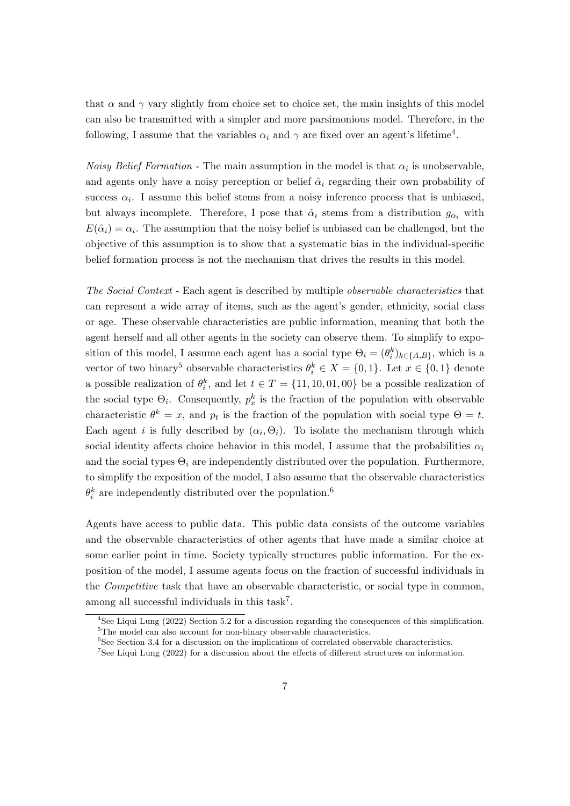that  $\alpha$  and  $\gamma$  vary slightly from choice set to choice set, the main insights of this model can also be transmitted with a simpler and more parsimonious model. Therefore, in the following, I assume that the variables  $\alpha_i$  and  $\gamma$  are fixed over an agent's lifetime<sup>4</sup>.

*Noisy Belief Formation* - The main assumption in the model is that  $\alpha_i$  is unobservable, and agents only have a noisy perception or belief  $\hat{\alpha}_i$  regarding their own probability of success  $\alpha_i$ . I assume this belief stems from a noisy inference process that is unbiased, but always incomplete. Therefore, I pose that  $\hat{\alpha}_i$  stems from a distribution  $g_{\alpha_i}$  with  $E(\hat{\alpha}_i) = \alpha_i$ . The assumption that the noisy belief is unbiased can be challenged, but the objective of this assumption is to show that a systematic bias in the individual-specific belief formation process is not the mechanism that drives the results in this model.

The Social Context - Each agent is described by multiple observable characteristics that can represent a wide array of items, such as the agent's gender, ethnicity, social class or age. These observable characteristics are public information, meaning that both the agent herself and all other agents in the society can observe them. To simplify to exposition of this model, I assume each agent has a social type  $\Theta_i = (\theta_i^k)_{k \in \{A, B\}}$ , which is a vector of two binary<sup>5</sup> observable characteristics  $\theta_i^k \in X = \{0,1\}$ . Let  $x \in \{0,1\}$  denote a possible realization of  $\theta_i^k$ , and let  $t \in T = \{11, 10, 01, 00\}$  be a possible realization of the social type  $\Theta_i$ . Consequently,  $p_x^k$  is the fraction of the population with observable characteristic  $\theta^k = x$ , and  $p_t$  is the fraction of the population with social type  $\Theta = t$ . Each agent *i* is fully described by  $(\alpha_i, \Theta_i)$ . To isolate the mechanism through which social identity affects choice behavior in this model, I assume that the probabilities  $\alpha_i$ and the social types  $\Theta_i$  are independently distributed over the population. Furthermore, to simplify the exposition of the model, I also assume that the observable characteristics  $\theta_i^k$  are independently distributed over the population.<sup>6</sup>

Agents have access to public data. This public data consists of the outcome variables and the observable characteristics of other agents that have made a similar choice at some earlier point in time. Society typically structures public information. For the exposition of the model, I assume agents focus on the fraction of successful individuals in the Competitive task that have an observable characteristic, or social type in common, among all successful individuals in this task<sup>7</sup>.

<sup>4</sup>See Liqui Lung (2022) Section 5.2 for a discussion regarding the consequences of this simplification. <sup>5</sup>The model can also account for non-binary observable characteristics.

<sup>&</sup>lt;sup>6</sup>See Section 3.4 for a discussion on the implications of correlated observable characteristics.

<sup>7</sup>See Liqui Lung (2022) for a discussion about the effects of different structures on information.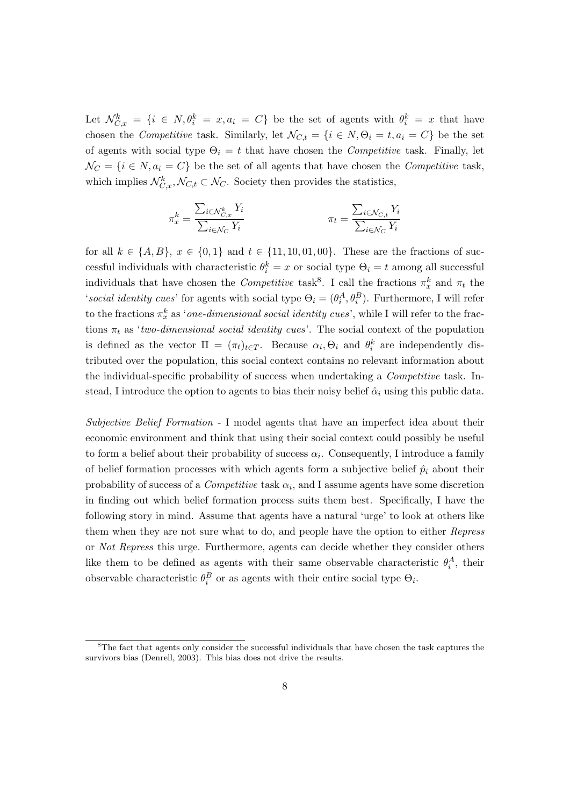Let  $\mathcal{N}_{C,x}^k = \{i \in N, \theta_i^k = x, a_i = C\}$  be the set of agents with  $\theta_i^k = x$  that have chosen the Competitive task. Similarly, let  $\mathcal{N}_{C,t} = \{i \in \mathbb{N}, \Theta_i = t, a_i = C\}$  be the set of agents with social type  $\Theta_i = t$  that have chosen the *Competitive* task. Finally, let  $\mathcal{N}_C = \{i \in \mathbb{N}, a_i = C\}$  be the set of all agents that have chosen the Competitive task, which implies  $\mathcal{N}_{C,x}^k, \mathcal{N}_{C,t} \subset \mathcal{N}_C$ . Society then provides the statistics,

$$
\pi_x^k = \frac{\sum_{i \in \mathcal{N}_{C,x}^k} Y_i}{\sum_{i \in \mathcal{N}_C} Y_i} \qquad \qquad \pi_t = \frac{\sum_{i \in \mathcal{N}_{C,t}} Y_i}{\sum_{i \in \mathcal{N}_C} Y_i}
$$

for all  $k \in \{A, B\}, x \in \{0, 1\}$  and  $t \in \{11, 10, 01, 00\}.$  These are the fractions of successful individuals with characteristic  $\theta_i^k = x$  or social type  $\Theta_i = t$  among all successful individuals that have chosen the *Competitive* task<sup>8</sup>. I call the fractions  $\pi_x^k$  and  $\pi_t$  the 'social identity cues' for agents with social type  $\Theta_i = (\theta_i^A, \theta_i^B)$ . Furthermore, I will refer to the fractions  $\pi_x^k$  as '*one-dimensional social identity cues*', while I will refer to the fractions  $\pi_t$  as 'two-dimensional social identity cues'. The social context of the population is defined as the vector  $\Pi = (\pi_t)_{t \in T}$ . Because  $\alpha_i, \Theta_i$  and  $\theta_i^k$  are independently distributed over the population, this social context contains no relevant information about the individual-specific probability of success when undertaking a *Competitive* task. Instead, I introduce the option to agents to bias their noisy belief  $\hat{\alpha}_i$  using this public data.

Subjective Belief Formation - I model agents that have an imperfect idea about their economic environment and think that using their social context could possibly be useful to form a belief about their probability of success  $\alpha_i$ . Consequently, I introduce a family of belief formation processes with which agents form a subjective belief  $\hat{p}_i$  about their probability of success of a *Competitive* task  $\alpha_i$ , and I assume agents have some discretion in finding out which belief formation process suits them best. Specifically, I have the following story in mind. Assume that agents have a natural 'urge' to look at others like them when they are not sure what to do, and people have the option to either Repress or Not Repress this urge. Furthermore, agents can decide whether they consider others like them to be defined as agents with their same observable characteristic  $\theta_i^A$ , their observable characteristic  $\theta_i^B$  or as agents with their entire social type  $\Theta_i$ .

<sup>8</sup>The fact that agents only consider the successful individuals that have chosen the task captures the survivors bias (Denrell, 2003). This bias does not drive the results.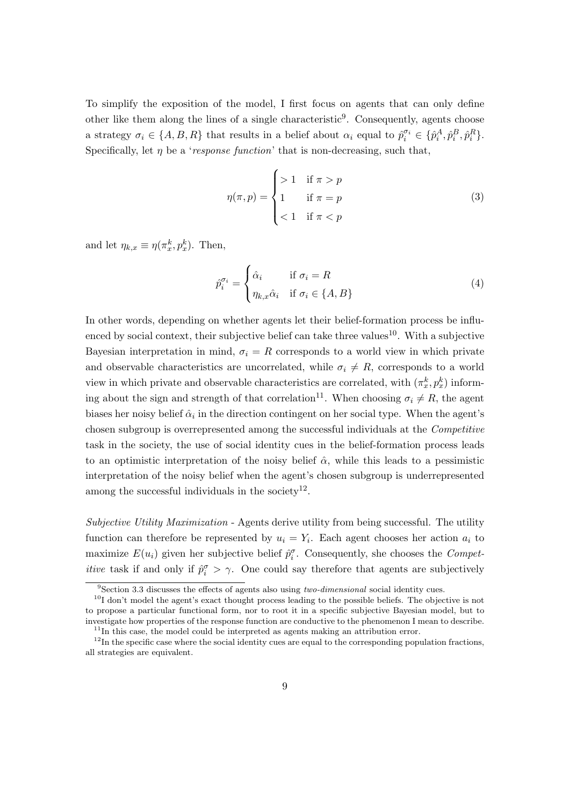To simplify the exposition of the model, I first focus on agents that can only define other like them along the lines of a single characteristic<sup>9</sup>. Consequently, agents choose a strategy  $\sigma_i \in \{A, B, R\}$  that results in a belief about  $\alpha_i$  equal to  $\hat{p}_i^{\sigma_i} \in \{\hat{p}_i^A, \hat{p}_i^B, \hat{p}_i^R\}.$ Specifically, let  $\eta$  be a 'response function' that is non-decreasing, such that,

$$
\eta(\pi, p) = \begin{cases}\n>1 & \text{if } \pi > p \\
1 & \text{if } \pi = p \\
< 1 & \text{if } \pi < p\n\end{cases}
$$
\n(3)

and let  $\eta_{k,x} \equiv \eta(\pi_x^k, p_x^k)$ . Then,

$$
\hat{p}_i^{\sigma_i} = \begin{cases}\n\hat{\alpha}_i & \text{if } \sigma_i = R \\
\eta_{k,x}\hat{\alpha}_i & \text{if } \sigma_i \in \{A, B\}\n\end{cases}
$$
\n(4)

In other words, depending on whether agents let their belief-formation process be influenced by social context, their subjective belief can take three values<sup>10</sup>. With a subjective Bayesian interpretation in mind,  $\sigma_i = R$  corresponds to a world view in which private and observable characteristics are uncorrelated, while  $\sigma_i \neq R$ , corresponds to a world view in which private and observable characteristics are correlated, with  $(\pi_x^k, p_x^k)$  informing about the sign and strength of that correlation<sup>11</sup>. When choosing  $\sigma_i \neq R$ , the agent biases her noisy belief  $\hat{\alpha}_i$  in the direction contingent on her social type. When the agent's chosen subgroup is overrepresented among the successful individuals at the Competitive task in the society, the use of social identity cues in the belief-formation process leads to an optimistic interpretation of the noisy belief  $\hat{\alpha}$ , while this leads to a pessimistic interpretation of the noisy belief when the agent's chosen subgroup is underrepresented among the successful individuals in the society<sup>12</sup>.

Subjective Utility Maximization - Agents derive utility from being successful. The utility function can therefore be represented by  $u_i = Y_i$ . Each agent chooses her action  $a_i$  to maximize  $E(u_i)$  given her subjective belief  $\hat{p}_i^{\sigma}$ . Consequently, she chooses the *Competitive* task if and only if  $\hat{p}_i^{\sigma} > \gamma$ . One could say therefore that agents are subjectively

 $9$ Section 3.3 discusses the effects of agents also using two-dimensional social identity cues.

<sup>&</sup>lt;sup>10</sup>I don't model the agent's exact thought process leading to the possible beliefs. The objective is not to propose a particular functional form, nor to root it in a specific subjective Bayesian model, but to investigate how properties of the response function are conductive to the phenomenon I mean to describe.  $11$ In this case, the model could be interpreted as agents making an attribution error.

 $12$ In the specific case where the social identity cues are equal to the corresponding population fractions, all strategies are equivalent.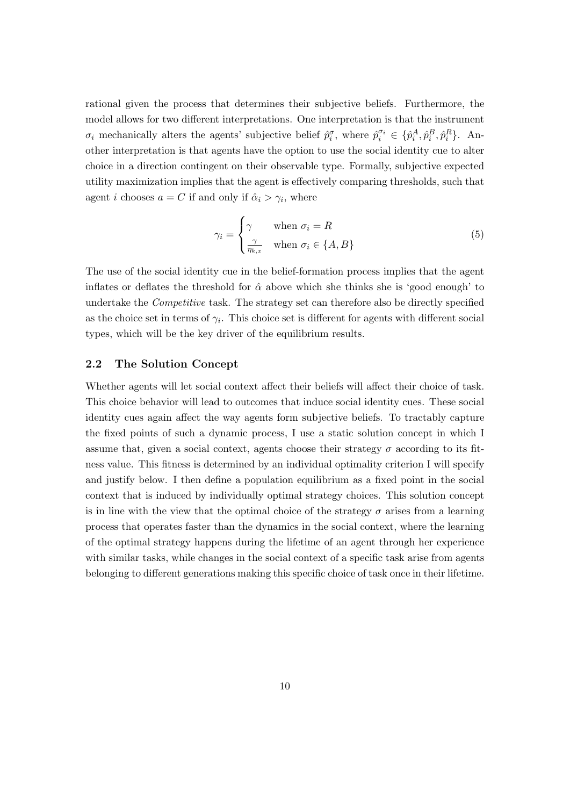rational given the process that determines their subjective beliefs. Furthermore, the model allows for two different interpretations. One interpretation is that the instrument  $\sigma_i$  mechanically alters the agents' subjective belief  $\hat{p}_i^{\sigma}$ , where  $\hat{p}_i^{\sigma_i} \in \{\hat{p}_i^A, \hat{p}_i^B, \hat{p}_i^R\}$ . Another interpretation is that agents have the option to use the social identity cue to alter choice in a direction contingent on their observable type. Formally, subjective expected utility maximization implies that the agent is effectively comparing thresholds, such that agent *i* chooses  $a = C$  if and only if  $\hat{\alpha}_i > \gamma_i$ , where

$$
\gamma_i = \begin{cases} \gamma & \text{when } \sigma_i = R \\ \frac{\gamma}{\eta_{k,x}} & \text{when } \sigma_i \in \{A, B\} \end{cases}
$$
 (5)

The use of the social identity cue in the belief-formation process implies that the agent inflates or deflates the threshold for  $\hat{\alpha}$  above which she thinks she is 'good enough' to undertake the Competitive task. The strategy set can therefore also be directly specified as the choice set in terms of  $\gamma_i$ . This choice set is different for agents with different social types, which will be the key driver of the equilibrium results.

### 2.2 The Solution Concept

Whether agents will let social context affect their beliefs will affect their choice of task. This choice behavior will lead to outcomes that induce social identity cues. These social identity cues again affect the way agents form subjective beliefs. To tractably capture the fixed points of such a dynamic process, I use a static solution concept in which I assume that, given a social context, agents choose their strategy  $\sigma$  according to its fitness value. This fitness is determined by an individual optimality criterion I will specify and justify below. I then define a population equilibrium as a fixed point in the social context that is induced by individually optimal strategy choices. This solution concept is in line with the view that the optimal choice of the strategy  $\sigma$  arises from a learning process that operates faster than the dynamics in the social context, where the learning of the optimal strategy happens during the lifetime of an agent through her experience with similar tasks, while changes in the social context of a specific task arise from agents belonging to different generations making this specific choice of task once in their lifetime.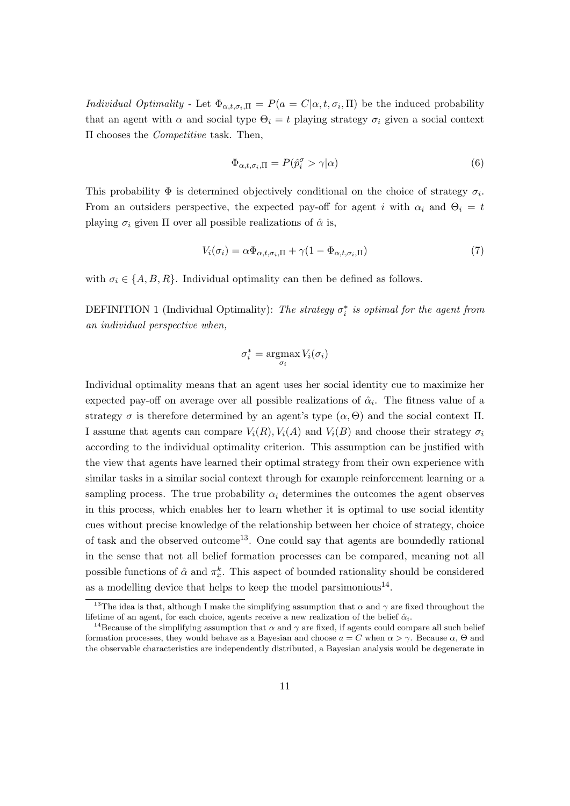*Individual Optimality* - Let  $\Phi_{\alpha,t,\sigma_i,\Pi} = P(a = C|\alpha,t,\sigma_i,\Pi)$  be the induced probability that an agent with  $\alpha$  and social type  $\Theta_i = t$  playing strategy  $\sigma_i$  given a social context Π chooses the Competitive task. Then,

$$
\Phi_{\alpha,t,\sigma_i,\Pi} = P(\hat{p}_i^{\sigma} > \gamma | \alpha)
$$
\n(6)

This probability  $\Phi$  is determined objectively conditional on the choice of strategy  $\sigma_i$ . From an outsiders perspective, the expected pay-off for agent i with  $\alpha_i$  and  $\Theta_i = t$ playing  $\sigma_i$  given  $\Pi$  over all possible realizations of  $\hat{\alpha}$  is,

$$
V_i(\sigma_i) = \alpha \Phi_{\alpha, t, \sigma_i, \Pi} + \gamma (1 - \Phi_{\alpha, t, \sigma_i, \Pi})
$$
\n<sup>(7)</sup>

with  $\sigma_i \in \{A, B, R\}$ . Individual optimality can then be defined as follows.

DEFINITION 1 (Individual Optimality): The strategy  $\sigma_i^*$  is optimal for the agent from an individual perspective when,

$$
\sigma_i^* = \operatorname*{argmax}_{\sigma_i} V_i(\sigma_i)
$$

Individual optimality means that an agent uses her social identity cue to maximize her expected pay-off on average over all possible realizations of  $\hat{\alpha}_i$ . The fitness value of a strategy  $\sigma$  is therefore determined by an agent's type  $(\alpha, \Theta)$  and the social context  $\Pi$ . I assume that agents can compare  $V_i(R)$ ,  $V_i(A)$  and  $V_i(B)$  and choose their strategy  $\sigma_i$ according to the individual optimality criterion. This assumption can be justified with the view that agents have learned their optimal strategy from their own experience with similar tasks in a similar social context through for example reinforcement learning or a sampling process. The true probability  $\alpha_i$  determines the outcomes the agent observes in this process, which enables her to learn whether it is optimal to use social identity cues without precise knowledge of the relationship between her choice of strategy, choice of task and the observed outcome<sup>13</sup>. One could say that agents are boundedly rational in the sense that not all belief formation processes can be compared, meaning not all possible functions of  $\hat{\alpha}$  and  $\pi_x^k$ . This aspect of bounded rationality should be considered as a modelling device that helps to keep the model parsimonious<sup>14</sup>.

<sup>&</sup>lt;sup>13</sup>The idea is that, although I make the simplifying assumption that  $\alpha$  and  $\gamma$  are fixed throughout the lifetime of an agent, for each choice, agents receive a new realization of the belief  $\hat{\alpha}_i$ .

<sup>&</sup>lt;sup>14</sup>Because of the simplifying assumption that  $\alpha$  and  $\gamma$  are fixed, if agents could compare all such belief formation processes, they would behave as a Bayesian and choose  $a = C$  when  $\alpha > \gamma$ . Because  $\alpha$ ,  $\Theta$  and the observable characteristics are independently distributed, a Bayesian analysis would be degenerate in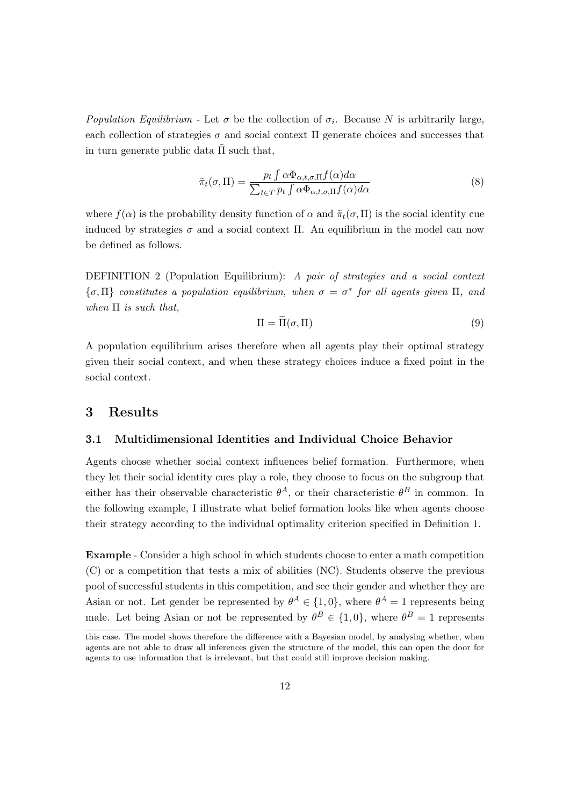Population Equilibrium - Let  $\sigma$  be the collection of  $\sigma_i$ . Because N is arbitrarily large, each collection of strategies  $\sigma$  and social context  $\Pi$  generate choices and successes that in turn generate public data  $\Pi$  such that,

$$
\tilde{\pi}_t(\sigma, \Pi) = \frac{p_t \int \alpha \Phi_{\alpha, t, \sigma, \Pi} f(\alpha) d\alpha}{\sum_{t \in T} p_t \int \alpha \Phi_{\alpha, t, \sigma, \Pi} f(\alpha) d\alpha} \tag{8}
$$

where  $f(\alpha)$  is the probability density function of  $\alpha$  and  $\tilde{\pi}_t(\sigma, \Pi)$  is the social identity cue induced by strategies  $\sigma$  and a social context Π. An equilibrium in the model can now be defined as follows.

DEFINITION 2 (Population Equilibrium): A pair of strategies and a social context  $\{\sigma, \Pi\}$  constitutes a population equilibrium, when  $\sigma = \sigma^*$  for all agents given  $\Pi$ , and when  $\Pi$  is such that,

$$
\Pi = \widetilde{\Pi}(\sigma, \Pi) \tag{9}
$$

A population equilibrium arises therefore when all agents play their optimal strategy given their social context, and when these strategy choices induce a fixed point in the social context.

### 3 Results

### 3.1 Multidimensional Identities and Individual Choice Behavior

Agents choose whether social context influences belief formation. Furthermore, when they let their social identity cues play a role, they choose to focus on the subgroup that either has their observable characteristic  $\theta^A$ , or their characteristic  $\theta^B$  in common. In the following example, I illustrate what belief formation looks like when agents choose their strategy according to the individual optimality criterion specified in Definition 1.

Example - Consider a high school in which students choose to enter a math competition (C) or a competition that tests a mix of abilities (NC). Students observe the previous pool of successful students in this competition, and see their gender and whether they are Asian or not. Let gender be represented by  $\theta^A \in \{1,0\}$ , where  $\theta^A = 1$  represents being male. Let being Asian or not be represented by  $\theta^B \in \{1,0\}$ , where  $\theta^B = 1$  represents

this case. The model shows therefore the difference with a Bayesian model, by analysing whether, when agents are not able to draw all inferences given the structure of the model, this can open the door for agents to use information that is irrelevant, but that could still improve decision making.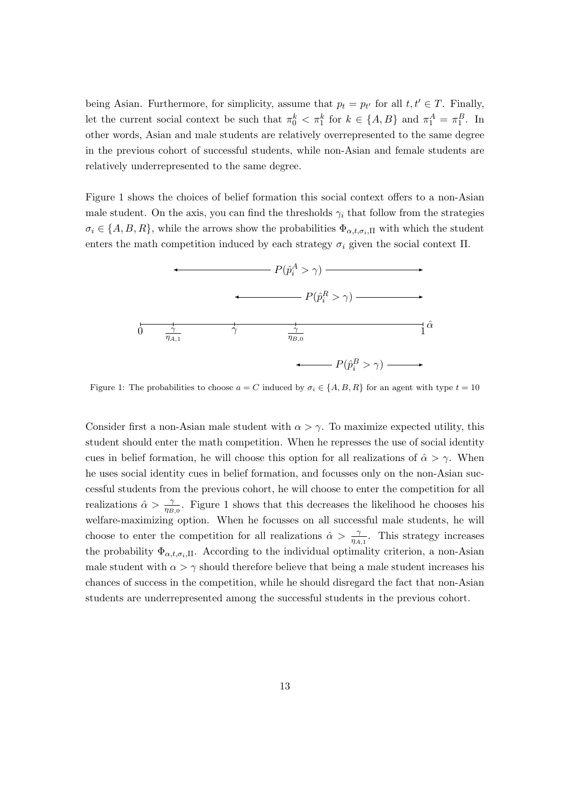being Asian. Furthermore, for simplicity, assume that  $p_t = p_{t'}$  for all  $t, t' \in T$ . Finally, let the current social context be such that  $\pi_0^k < \pi_1^k$  for  $k \in \{A, B\}$  and  $\pi_1^A = \pi_1^B$ . In other words, Asian and male students are relatively overrepresented to the same degree in the previous cohort of successful students, while non-Asian and female students are relatively underrepresented to the same degree.

Figure 1 shows the choices of belief formation this social context offers to a non-Asian male student. On the axis, you can find the thresholds  $\gamma_i$  that follow from the strategies  $\sigma_i \in \{A, B, R\}$ , while the arrows show the probabilities  $\Phi_{\alpha, t, \sigma_i, \Pi}$  with which the student enters the math competition induced by each strategy  $\sigma_i$  given the social context  $\Pi$ .



Figure 1: The probabilities to choose  $a = C$  induced by  $\sigma_i \in \{A, B, R\}$  for an agent with type  $t = 10$ 

Consider first a non-Asian male student with  $\alpha > \gamma$ . To maximize expected utility, this student should enter the math competition. When he represses the use of social identity cues in belief formation, he will choose this option for all realizations of  $\hat{\alpha} > \gamma$ . When he uses social identity cues in belief formation, and focusses only on the non-Asian successful students from the previous cohort, he will choose to enter the competition for all realizations  $\hat{\alpha} > \frac{\gamma}{\eta_{B,0}}$ . Figure 1 shows that this decreases the likelihood he chooses his welfare-maximizing option. When he focusses on all successful male students, he will choose to enter the competition for all realizations  $\hat{\alpha} > \frac{\gamma}{\eta_{A,1}}$ . This strategy increases the probability  $\Phi_{\alpha,t,\sigma_i,\Pi}$ . According to the individual optimality criterion, a non-Asian male student with  $\alpha > \gamma$  should therefore believe that being a male student increases his chances of success in the competition, while he should disregard the fact that non-Asian students are underrepresented among the successful students in the previous cohort.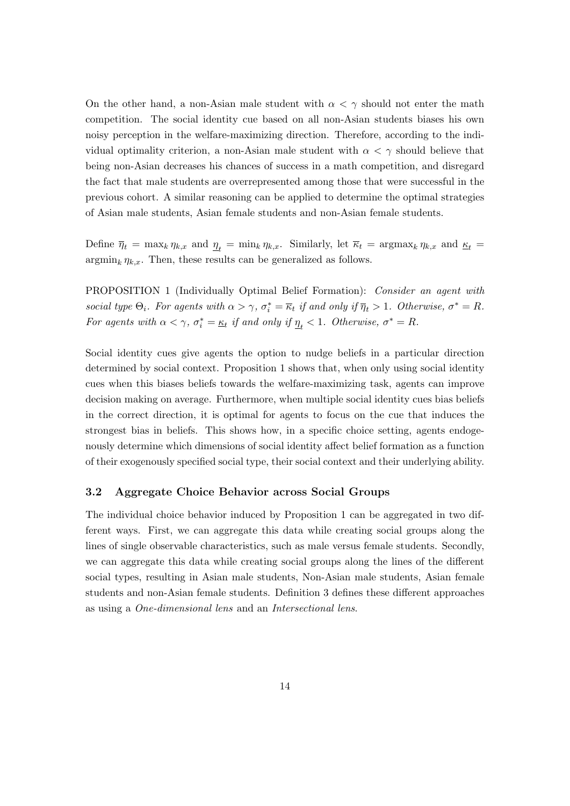On the other hand, a non-Asian male student with  $\alpha < \gamma$  should not enter the math competition. The social identity cue based on all non-Asian students biases his own noisy perception in the welfare-maximizing direction. Therefore, according to the individual optimality criterion, a non-Asian male student with  $\alpha < \gamma$  should believe that being non-Asian decreases his chances of success in a math competition, and disregard the fact that male students are overrepresented among those that were successful in the previous cohort. A similar reasoning can be applied to determine the optimal strategies of Asian male students, Asian female students and non-Asian female students.

Define  $\overline{\eta}_t = \max_k \eta_{k,x}$  and  $\underline{\eta}_t = \min_k \eta_{k,x}$ . Similarly, let  $\overline{\kappa}_t = \operatorname{argmax}_k \eta_{k,x}$  and  $\underline{\kappa}_t =$  $\operatorname{argmin}_{k} \eta_{k,x}$ . Then, these results can be generalized as follows.

PROPOSITION 1 (Individually Optimal Belief Formation): Consider an agent with social type  $\Theta_i$ . For agents with  $\alpha > \gamma$ ,  $\sigma_i^* = \overline{\kappa}_t$  if and only if  $\overline{\eta}_t > 1$ . Otherwise,  $\sigma^* = R$ . For agents with  $\alpha < \gamma$ ,  $\sigma_i^* = \underline{\kappa}_t$  if and only if  $\underline{\eta}_t < 1$ . Otherwise,  $\sigma^* = R$ .

Social identity cues give agents the option to nudge beliefs in a particular direction determined by social context. Proposition 1 shows that, when only using social identity cues when this biases beliefs towards the welfare-maximizing task, agents can improve decision making on average. Furthermore, when multiple social identity cues bias beliefs in the correct direction, it is optimal for agents to focus on the cue that induces the strongest bias in beliefs. This shows how, in a specific choice setting, agents endogenously determine which dimensions of social identity affect belief formation as a function of their exogenously specified social type, their social context and their underlying ability.

### 3.2 Aggregate Choice Behavior across Social Groups

The individual choice behavior induced by Proposition 1 can be aggregated in two different ways. First, we can aggregate this data while creating social groups along the lines of single observable characteristics, such as male versus female students. Secondly, we can aggregate this data while creating social groups along the lines of the different social types, resulting in Asian male students, Non-Asian male students, Asian female students and non-Asian female students. Definition 3 defines these different approaches as using a One-dimensional lens and an Intersectional lens.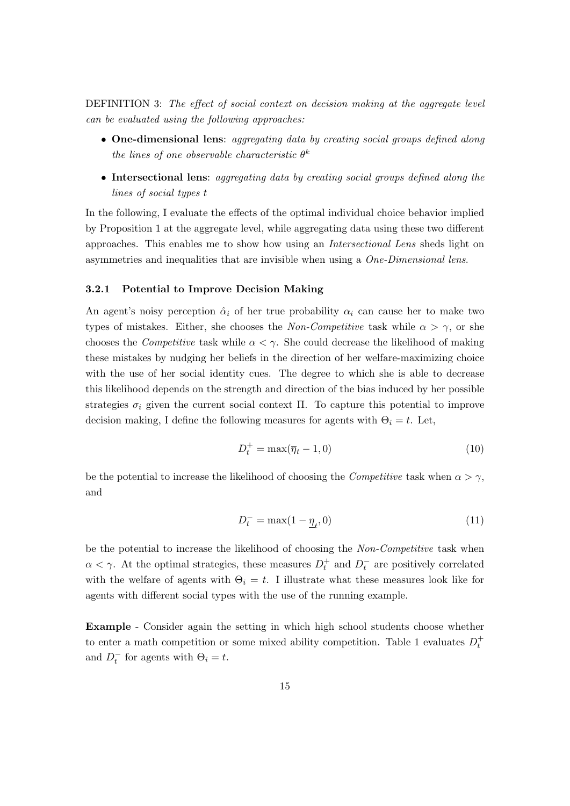DEFINITION 3: The effect of social context on decision making at the aggregate level can be evaluated using the following approaches:

- One-dimensional lens: aggregating data by creating social groups defined along the lines of one observable characteristic  $\theta^k$
- Intersectional lens: aggregating data by creating social groups defined along the lines of social types t

In the following, I evaluate the effects of the optimal individual choice behavior implied by Proposition 1 at the aggregate level, while aggregating data using these two different approaches. This enables me to show how using an Intersectional Lens sheds light on asymmetries and inequalities that are invisible when using a One-Dimensional lens.

#### 3.2.1 Potential to Improve Decision Making

An agent's noisy perception  $\hat{\alpha}_i$  of her true probability  $\alpha_i$  can cause her to make two types of mistakes. Either, she chooses the Non-Competitive task while  $\alpha > \gamma$ , or she chooses the *Competitive* task while  $\alpha < \gamma$ . She could decrease the likelihood of making these mistakes by nudging her beliefs in the direction of her welfare-maximizing choice with the use of her social identity cues. The degree to which she is able to decrease this likelihood depends on the strength and direction of the bias induced by her possible strategies  $\sigma_i$  given the current social context Π. To capture this potential to improve decision making, I define the following measures for agents with  $\Theta_i = t$ . Let,

$$
D_t^+ = \max(\overline{\eta}_t - 1, 0) \tag{10}
$$

be the potential to increase the likelihood of choosing the *Competitive* task when  $\alpha > \gamma$ , and

$$
D_t^- = \max(1 - \underline{\eta}_t, 0) \tag{11}
$$

be the potential to increase the likelihood of choosing the Non-Competitive task when  $\alpha < \gamma$ . At the optimal strategies, these measures  $D_t^+$  and  $D_t^-$  are positively correlated with the welfare of agents with  $\Theta_i = t$ . I illustrate what these measures look like for agents with different social types with the use of the running example.

Example - Consider again the setting in which high school students choose whether to enter a math competition or some mixed ability competition. Table 1 evaluates  $D_t^+$ and  $D_t^-$  for agents with  $\Theta_i = t$ .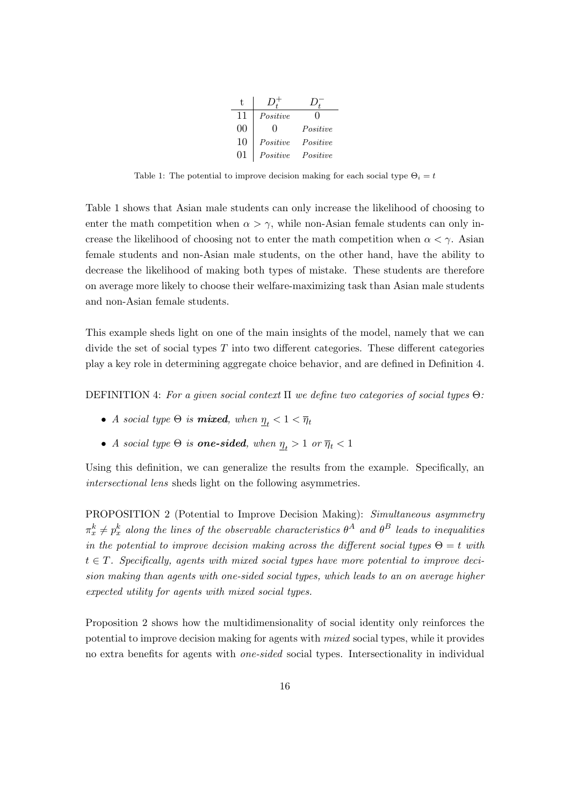| t. |          |          |
|----|----------|----------|
| 11 | Positive | 0        |
| 00 | 0        | Positive |
| 10 | Positive | Positive |
| 01 | Positive | Positive |

Table 1: The potential to improve decision making for each social type  $\Theta_i = t$ 

Table 1 shows that Asian male students can only increase the likelihood of choosing to enter the math competition when  $\alpha > \gamma$ , while non-Asian female students can only increase the likelihood of choosing not to enter the math competition when  $\alpha < \gamma$ . Asian female students and non-Asian male students, on the other hand, have the ability to decrease the likelihood of making both types of mistake. These students are therefore on average more likely to choose their welfare-maximizing task than Asian male students and non-Asian female students.

This example sheds light on one of the main insights of the model, namely that we can divide the set of social types  $T$  into two different categories. These different categories play a key role in determining aggregate choice behavior, and are defined in Definition 4.

DEFINITION 4: For a given social context  $\Pi$  we define two categories of social types  $\Theta$ :

- A social type  $\Theta$  is **mixed**, when  $\underline{\eta}_t < 1 < \overline{\eta}_t$
- A social type  $\Theta$  is **one-sided**, when  $\underline{\eta}_t > 1$  or  $\overline{\eta}_t < 1$

Using this definition, we can generalize the results from the example. Specifically, an intersectional lens sheds light on the following asymmetries.

PROPOSITION 2 (Potential to Improve Decision Making): Simultaneous asymmetry  $\pi^k_x \neq p^k_x$  along the lines of the observable characteristics  $\theta^A$  and  $\theta^B$  leads to inequalities in the potential to improve decision making across the different social types  $\Theta = t$  with  $t \in T$ . Specifically, agents with mixed social types have more potential to improve decision making than agents with one-sided social types, which leads to an on average higher expected utility for agents with mixed social types.

Proposition 2 shows how the multidimensionality of social identity only reinforces the potential to improve decision making for agents with mixed social types, while it provides no extra benefits for agents with one-sided social types. Intersectionality in individual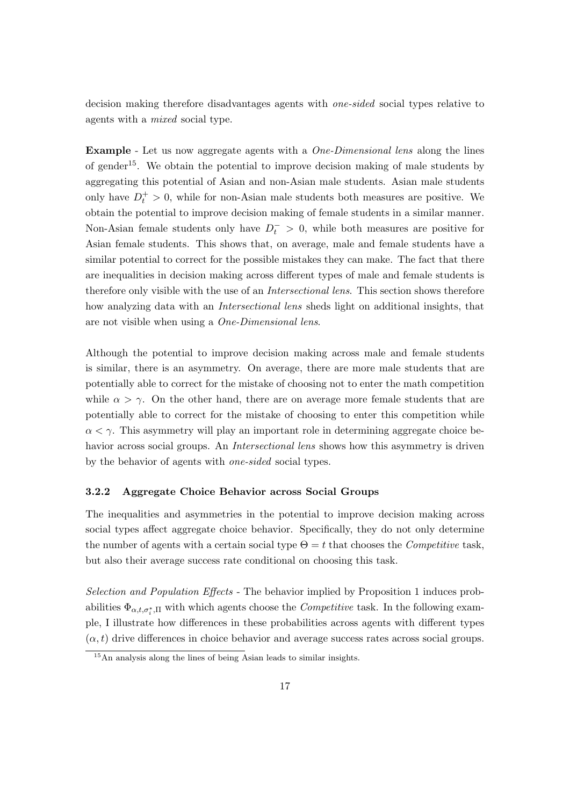decision making therefore disadvantages agents with one-sided social types relative to agents with a mixed social type.

Example - Let us now aggregate agents with a One-Dimensional lens along the lines of gender<sup>15</sup>. We obtain the potential to improve decision making of male students by aggregating this potential of Asian and non-Asian male students. Asian male students only have  $D_t^+ > 0$ , while for non-Asian male students both measures are positive. We obtain the potential to improve decision making of female students in a similar manner. Non-Asian female students only have  $D_t^- > 0$ , while both measures are positive for Asian female students. This shows that, on average, male and female students have a similar potential to correct for the possible mistakes they can make. The fact that there are inequalities in decision making across different types of male and female students is therefore only visible with the use of an *Intersectional lens*. This section shows therefore how analyzing data with an *Intersectional lens* sheds light on additional insights, that are not visible when using a One-Dimensional lens.

Although the potential to improve decision making across male and female students is similar, there is an asymmetry. On average, there are more male students that are potentially able to correct for the mistake of choosing not to enter the math competition while  $\alpha > \gamma$ . On the other hand, there are on average more female students that are potentially able to correct for the mistake of choosing to enter this competition while  $\alpha < \gamma$ . This asymmetry will play an important role in determining aggregate choice behavior across social groups. An *Intersectional lens* shows how this asymmetry is driven by the behavior of agents with one-sided social types.

#### 3.2.2 Aggregate Choice Behavior across Social Groups

The inequalities and asymmetries in the potential to improve decision making across social types affect aggregate choice behavior. Specifically, they do not only determine the number of agents with a certain social type  $\Theta = t$  that chooses the *Competitive* task, but also their average success rate conditional on choosing this task.

Selection and Population Effects - The behavior implied by Proposition 1 induces probabilities  $\Phi_{\alpha, t, \sigma_i^*, \Pi}$  with which agents choose the *Competitive* task. In the following example, I illustrate how differences in these probabilities across agents with different types  $(\alpha, t)$  drive differences in choice behavior and average success rates across social groups.

 $15$ An analysis along the lines of being Asian leads to similar insights.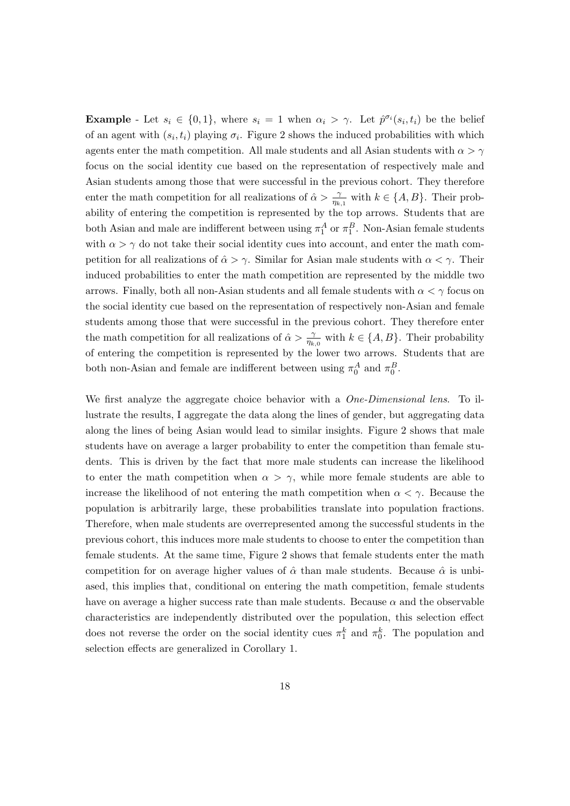**Example** - Let  $s_i \in \{0,1\}$ , where  $s_i = 1$  when  $\alpha_i > \gamma$ . Let  $\hat{p}^{\sigma_i}(s_i, t_i)$  be the belief of an agent with  $(s_i, t_i)$  playing  $\sigma_i$ . Figure 2 shows the induced probabilities with which agents enter the math competition. All male students and all Asian students with  $\alpha > \gamma$ focus on the social identity cue based on the representation of respectively male and Asian students among those that were successful in the previous cohort. They therefore enter the math competition for all realizations of  $\hat{\alpha} > \frac{\gamma}{\eta_{k,1}}$  with  $k \in \{A, B\}$ . Their probability of entering the competition is represented by the top arrows. Students that are both Asian and male are indifferent between using  $\pi_1^A$  or  $\pi_1^B$ . Non-Asian female students with  $\alpha > \gamma$  do not take their social identity cues into account, and enter the math competition for all realizations of  $\hat{\alpha} > \gamma$ . Similar for Asian male students with  $\alpha < \gamma$ . Their induced probabilities to enter the math competition are represented by the middle two arrows. Finally, both all non-Asian students and all female students with  $\alpha < \gamma$  focus on the social identity cue based on the representation of respectively non-Asian and female students among those that were successful in the previous cohort. They therefore enter the math competition for all realizations of  $\hat{\alpha} > \frac{\gamma}{\eta_{k,0}}$  with  $k \in \{A, B\}$ . Their probability of entering the competition is represented by the lower two arrows. Students that are both non-Asian and female are indifferent between using  $\pi_0^A$  and  $\pi_0^B$ .

We first analyze the aggregate choice behavior with a *One-Dimensional lens*. To illustrate the results, I aggregate the data along the lines of gender, but aggregating data along the lines of being Asian would lead to similar insights. Figure 2 shows that male students have on average a larger probability to enter the competition than female students. This is driven by the fact that more male students can increase the likelihood to enter the math competition when  $\alpha > \gamma$ , while more female students are able to increase the likelihood of not entering the math competition when  $\alpha < \gamma$ . Because the population is arbitrarily large, these probabilities translate into population fractions. Therefore, when male students are overrepresented among the successful students in the previous cohort, this induces more male students to choose to enter the competition than female students. At the same time, Figure 2 shows that female students enter the math competition for on average higher values of  $\hat{\alpha}$  than male students. Because  $\hat{\alpha}$  is unbiased, this implies that, conditional on entering the math competition, female students have on average a higher success rate than male students. Because  $\alpha$  and the observable characteristics are independently distributed over the population, this selection effect does not reverse the order on the social identity cues  $\pi_1^k$  and  $\pi_0^k$ . The population and selection effects are generalized in Corollary 1.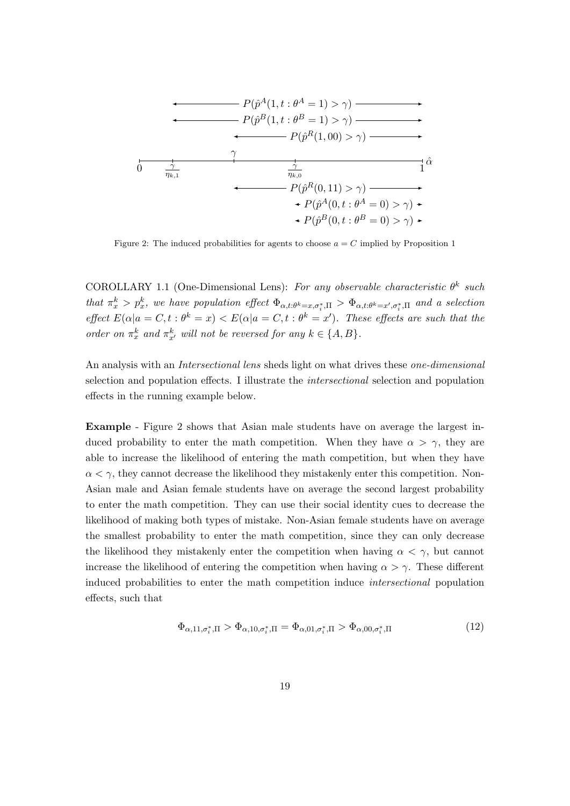$$
P(\hat{p}^{A}(1, t: \theta^{A} = 1) > \gamma) \longrightarrow
$$
\n
$$
P(\hat{p}^{B}(1, t: \theta^{B} = 1) > \gamma) \longrightarrow
$$
\n
$$
P(\hat{p}^{R}(1, 00) > \gamma) \longrightarrow
$$
\n
$$
\frac{\gamma}{\eta_{k,1}} \longrightarrow \frac{\frac{1}{\eta_{k,0}}}{\eta_{k,0}} \longrightarrow
$$
\n
$$
P(\hat{p}^{A}(0, 11) > \gamma) \longrightarrow
$$
\n
$$
\leftarrow P(\hat{p}^{A}(0, t: \theta^{A} = 0) > \gamma) \longrightarrow
$$
\n
$$
\leftarrow P(\hat{p}^{B}(0, t: \theta^{B} = 0) > \gamma) \longrightarrow
$$

Figure 2: The induced probabilities for agents to choose  $a = C$  implied by Proposition 1

COROLLARY 1.1 (One-Dimensional Lens): For any observable characteristic  $\theta^k$  such that  $\pi^k_x > p^k_x$ , we have population effect  $\Phi_{\alpha,t:\theta^k=x,\sigma_i^*,\Pi} > \Phi_{\alpha,t:\theta^k=x',\sigma_i^*,\Pi}$  and a selection effect  $E(\alpha|a = C, t : \theta^k = x) < E(\alpha|a = C, t : \theta^k = x')$ . These effects are such that the order on  $\pi_x^k$  and  $\pi_{x'}^k$  will not be reversed for any  $k \in \{A, B\}$ .

An analysis with an *Intersectional lens* sheds light on what drives these *one-dimensional* selection and population effects. I illustrate the intersectional selection and population effects in the running example below.

Example - Figure 2 shows that Asian male students have on average the largest induced probability to enter the math competition. When they have  $\alpha > \gamma$ , they are able to increase the likelihood of entering the math competition, but when they have  $\alpha < \gamma$ , they cannot decrease the likelihood they mistakenly enter this competition. Non-Asian male and Asian female students have on average the second largest probability to enter the math competition. They can use their social identity cues to decrease the likelihood of making both types of mistake. Non-Asian female students have on average the smallest probability to enter the math competition, since they can only decrease the likelihood they mistakenly enter the competition when having  $\alpha < \gamma$ , but cannot increase the likelihood of entering the competition when having  $\alpha > \gamma$ . These different induced probabilities to enter the math competition induce intersectional population effects, such that

$$
\Phi_{\alpha,11,\sigma_i^*,\Pi} > \Phi_{\alpha,10,\sigma_i^*,\Pi} = \Phi_{\alpha,01,\sigma_i^*,\Pi} > \Phi_{\alpha,00,\sigma_i^*,\Pi} \tag{12}
$$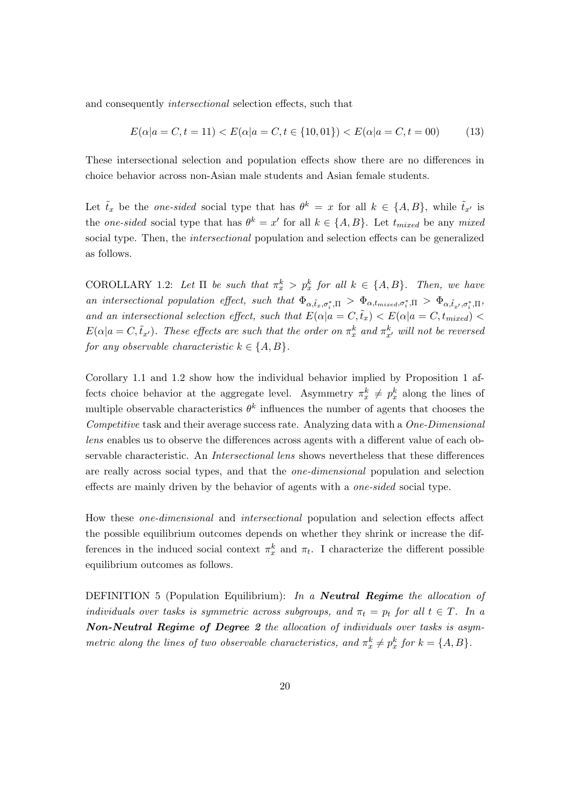and consequently *intersectional* selection effects, such that

$$
E(\alpha|a = C, t = 11) < E(\alpha|a = C, t \in \{10, 01\}) < E(\alpha|a = C, t = 00) \tag{13}
$$

These intersectional selection and population effects show there are no differences in choice behavior across non-Asian male students and Asian female students.

Let  $\tilde{t}_x$  be the one-sided social type that has  $\theta^k = x$  for all  $k \in \{A, B\}$ , while  $\tilde{t}_{x'}$  is the one-sided social type that has  $\theta^k = x'$  for all  $k \in \{A, B\}$ . Let  $t_{mixed}$  be any mixed social type. Then, the *intersectional* population and selection effects can be generalized as follows.

COROLLARY 1.2: Let  $\Pi$  be such that  $\pi_x^k > p_x^k$  for all  $k \in \{A, B\}$ . Then, we have an intersectional population effect, such that  $\Phi_{\alpha,\tilde{t}_x,\sigma_i^*,\Pi} > \Phi_{\alpha,t_{mixed},\sigma_i^*,\Pi} > \Phi_{\alpha,\tilde{t}_x,\sigma_i^*,\Pi}$ and an intersectional selection effect, such that  $E(\alpha | a = C, \tilde{t}_x) < E(\alpha | a = C, t_{mixed})$  $E(\alpha|a = C, \tilde{t}_{x'})$ . These effects are such that the order on  $\pi_x^k$  and  $\pi_{x'}^k$  will not be reversed for any observable characteristic  $k \in \{A, B\}.$ 

Corollary 1.1 and 1.2 show how the individual behavior implied by Proposition 1 affects choice behavior at the aggregate level. Asymmetry  $\pi_x^k \neq p_x^k$  along the lines of multiple observable characteristics  $\theta^k$  influences the number of agents that chooses the Competitive task and their average success rate. Analyzing data with a One-Dimensional lens enables us to observe the differences across agents with a different value of each observable characteristic. An Intersectional lens shows nevertheless that these differences are really across social types, and that the one-dimensional population and selection effects are mainly driven by the behavior of agents with a one-sided social type.

How these one-dimensional and intersectional population and selection effects affect the possible equilibrium outcomes depends on whether they shrink or increase the differences in the induced social context  $\pi_x^k$  and  $\pi_t$ . I characterize the different possible equilibrium outcomes as follows.

DEFINITION 5 (Population Equilibrium): In a **Neutral Regime** the allocation of individuals over tasks is symmetric across subgroups, and  $\pi_t = p_t$  for all  $t \in T$ . In a Non-Neutral Regime of Degree 2 the allocation of individuals over tasks is asymmetric along the lines of two observable characteristics, and  $\pi_x^k \neq p_x^k$  for  $k = \{A, B\}$ .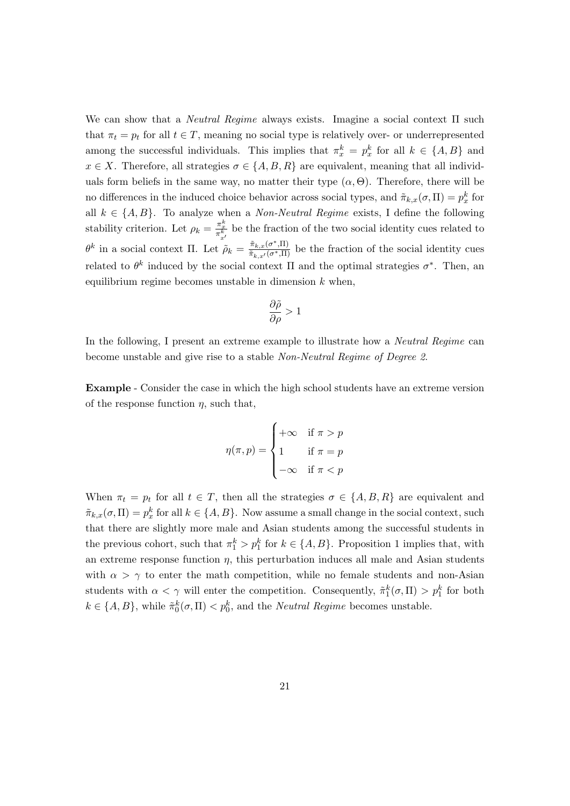We can show that a *Neutral Regime* always exists. Imagine a social context  $\Pi$  such that  $\pi_t = p_t$  for all  $t \in T$ , meaning no social type is relatively over- or underrepresented among the successful individuals. This implies that  $\pi_x^k = p_x^k$  for all  $k \in \{A, B\}$  and  $x \in X$ . Therefore, all strategies  $\sigma \in \{A, B, R\}$  are equivalent, meaning that all individuals form beliefs in the same way, no matter their type  $(\alpha, \Theta)$ . Therefore, there will be no differences in the induced choice behavior across social types, and  $\tilde{\pi}_{k,x}(\sigma,\Pi) = p_x^k$  for all  $k \in \{A, B\}$ . To analyze when a *Non-Neutral Regime* exists, I define the following stability criterion. Let  $\rho_k = \frac{\pi \frac{k}{x}}{\pi \frac{k}{x'}}$  be the fraction of the two social identity cues related to  $\theta^k$  in a social context  $\Pi$ . Let  $\tilde{\rho}_k = \frac{\tilde{\pi}_{k,x}(\sigma^*,\Pi)}{\tilde{\pi}_{k,x'}(\sigma^*,\Pi)}$  be the fraction of the social identity cues related to  $\theta^k$  induced by the social context  $\Pi$  and the optimal strategies  $\sigma^*$ . Then, an equilibrium regime becomes unstable in dimension  $k$  when,

$$
\frac{\partial \tilde{\rho}}{\partial \rho} > 1
$$

In the following, I present an extreme example to illustrate how a *Neutral Regime* can become unstable and give rise to a stable Non-Neutral Regime of Degree 2.

Example - Consider the case in which the high school students have an extreme version of the response function  $\eta$ , such that,

$$
\eta(\pi, p) = \begin{cases}\n+\infty & \text{if } \pi > p \\
1 & \text{if } \pi = p \\
-\infty & \text{if } \pi < p\n\end{cases}
$$

When  $\pi_t = p_t$  for all  $t \in T$ , then all the strategies  $\sigma \in \{A, B, R\}$  are equivalent and  $\tilde{\pi}_{k,x}(\sigma,\Pi) = p_x^k$  for all  $k \in \{A,B\}$ . Now assume a small change in the social context, such that there are slightly more male and Asian students among the successful students in the previous cohort, such that  $\pi_1^k > p_1^k$  for  $k \in \{A, B\}$ . Proposition 1 implies that, with an extreme response function  $\eta$ , this perturbation induces all male and Asian students with  $\alpha > \gamma$  to enter the math competition, while no female students and non-Asian students with  $\alpha < \gamma$  will enter the competition. Consequently,  $\tilde{\pi}_1^k(\sigma, \Pi) > p_1^k$  for both  $k \in \{A, B\}$ , while  $\tilde{\pi}_0^k(\sigma, \Pi) < p_0^k$ , and the *Neutral Regime* becomes unstable.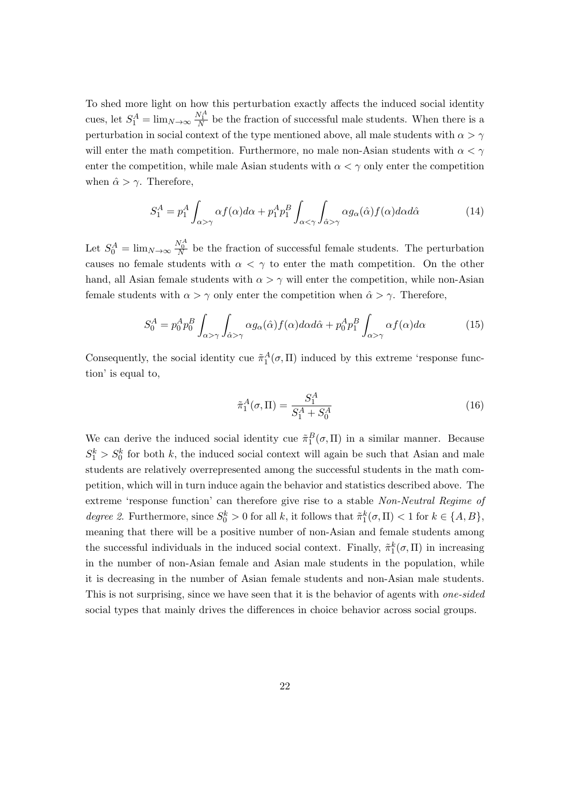To shed more light on how this perturbation exactly affects the induced social identity cues, let  $S_1^A = \lim_{N \to \infty} \frac{N_1^A}{N}$  be the fraction of successful male students. When there is a perturbation in social context of the type mentioned above, all male students with  $\alpha > \gamma$ will enter the math competition. Furthermore, no male non-Asian students with  $\alpha < \gamma$ enter the competition, while male Asian students with  $\alpha < \gamma$  only enter the competition when  $\hat{\alpha} > \gamma$ . Therefore,

$$
S_1^A = p_1^A \int_{\alpha > \gamma} \alpha f(\alpha) d\alpha + p_1^A p_1^B \int_{\alpha < \gamma} \int_{\hat{\alpha} > \gamma} \alpha g_\alpha(\hat{\alpha}) f(\alpha) d\alpha d\hat{\alpha}
$$
 (14)

Let  $S_0^A = \lim_{N \to \infty} \frac{N_0^A}{N}$  be the fraction of successful female students. The perturbation causes no female students with  $\alpha < \gamma$  to enter the math competition. On the other hand, all Asian female students with  $\alpha > \gamma$  will enter the competition, while non-Asian female students with  $\alpha > \gamma$  only enter the competition when  $\hat{\alpha} > \gamma$ . Therefore,

$$
S_0^A = p_0^A p_0^B \int_{\alpha > \gamma} \int_{\hat{\alpha} > \gamma} \alpha g_\alpha(\hat{\alpha}) f(\alpha) d\alpha d\hat{\alpha} + p_0^A p_1^B \int_{\alpha > \gamma} \alpha f(\alpha) d\alpha \tag{15}
$$

Consequently, the social identity cue  $\tilde{\pi}_1^A(\sigma, \Pi)$  induced by this extreme 'response function' is equal to,

$$
\tilde{\pi}_1^A(\sigma, \Pi) = \frac{S_1^A}{S_1^A + S_0^A} \tag{16}
$$

We can derive the induced social identity cue  $\tilde{\pi}_1^B(\sigma,\Pi)$  in a similar manner. Because  $S_1^k > S_0^k$  for both k, the induced social context will again be such that Asian and male students are relatively overrepresented among the successful students in the math competition, which will in turn induce again the behavior and statistics described above. The extreme 'response function' can therefore give rise to a stable Non-Neutral Regime of degree 2. Furthermore, since  $S_0^k > 0$  for all k, it follows that  $\tilde{\pi}_1^k(\sigma, \Pi) < 1$  for  $k \in \{A, B\}$ , meaning that there will be a positive number of non-Asian and female students among the successful individuals in the induced social context. Finally,  $\tilde{\pi}_1^k(\sigma,\Pi)$  in increasing in the number of non-Asian female and Asian male students in the population, while it is decreasing in the number of Asian female students and non-Asian male students. This is not surprising, since we have seen that it is the behavior of agents with *one-sided* social types that mainly drives the differences in choice behavior across social groups.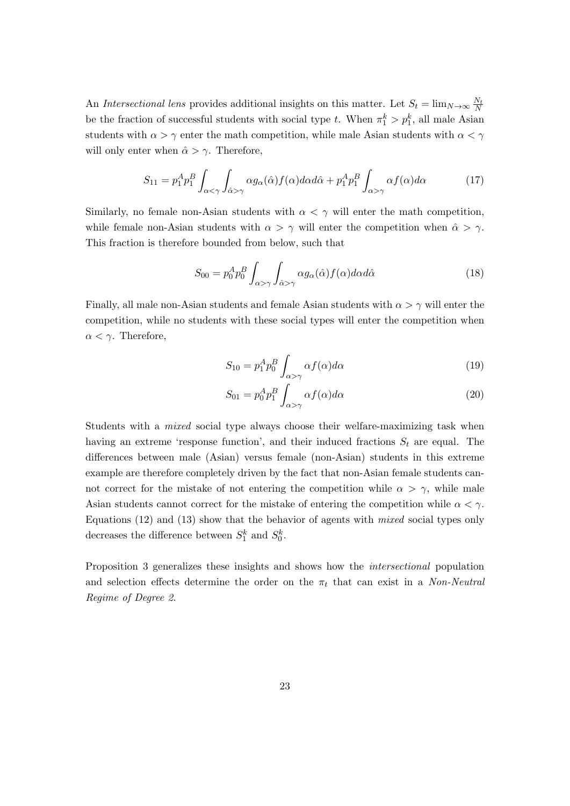An Intersectional lens provides additional insights on this matter. Let  $S_t = \lim_{N \to \infty} \frac{N_t}{N}$ be the fraction of successful students with social type t. When  $\pi_1^k > p_1^k$ , all male Asian students with  $\alpha > \gamma$  enter the math competition, while male Asian students with  $\alpha < \gamma$ will only enter when  $\hat{\alpha} > \gamma$ . Therefore,

$$
S_{11} = p_1^A p_1^B \int_{\alpha < \gamma} \int_{\hat{\alpha} > \gamma} \alpha g_{\alpha}(\hat{\alpha}) f(\alpha) d\alpha d\hat{\alpha} + p_1^A p_1^B \int_{\alpha > \gamma} \alpha f(\alpha) d\alpha \tag{17}
$$

Similarly, no female non-Asian students with  $\alpha < \gamma$  will enter the math competition, while female non-Asian students with  $\alpha > \gamma$  will enter the competition when  $\hat{\alpha} > \gamma$ . This fraction is therefore bounded from below, such that

$$
S_{00} = p_0^A p_0^B \int_{\alpha > \gamma} \int_{\hat{\alpha} > \gamma} \alpha g_\alpha(\hat{\alpha}) f(\alpha) d\alpha d\hat{\alpha}
$$
 (18)

Finally, all male non-Asian students and female Asian students with  $\alpha > \gamma$  will enter the competition, while no students with these social types will enter the competition when  $\alpha < \gamma$ . Therefore,

$$
S_{10} = p_1^A p_0^B \int_{\alpha > \gamma} \alpha f(\alpha) d\alpha \tag{19}
$$

$$
S_{01} = p_0^A p_1^B \int_{\alpha > \gamma} \alpha f(\alpha) d\alpha \tag{20}
$$

Students with a mixed social type always choose their welfare-maximizing task when having an extreme 'response function', and their induced fractions  $S_t$  are equal. The differences between male (Asian) versus female (non-Asian) students in this extreme example are therefore completely driven by the fact that non-Asian female students cannot correct for the mistake of not entering the competition while  $\alpha > \gamma$ , while male Asian students cannot correct for the mistake of entering the competition while  $\alpha < \gamma$ . Equations  $(12)$  and  $(13)$  show that the behavior of agents with *mixed* social types only decreases the difference between  $S_1^k$  and  $S_0^k$ .

Proposition 3 generalizes these insights and shows how the intersectional population and selection effects determine the order on the  $\pi_t$  that can exist in a *Non-Neutral* Regime of Degree 2.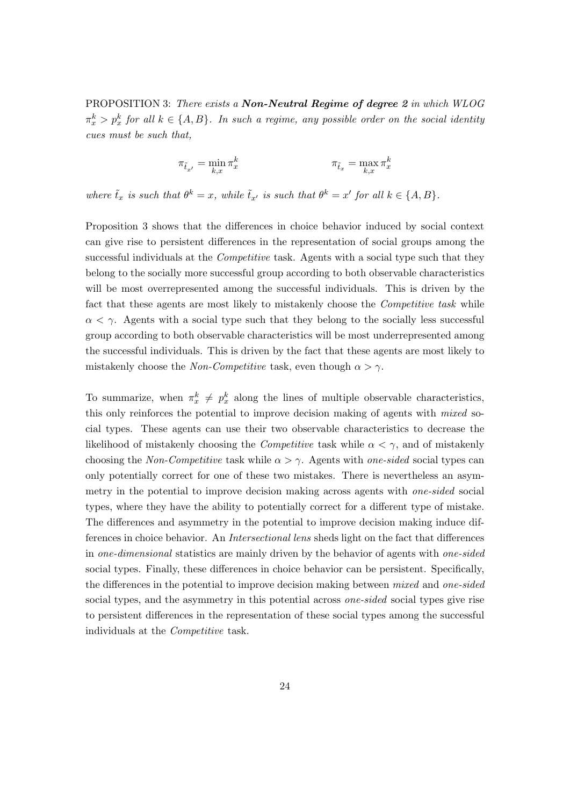PROPOSITION 3: There exists a **Non-Neutral Regime of degree 2** in which WLOG  $\pi^k_x > p^k_x$  for all  $k \in \{A, B\}$ . In such a regime, any possible order on the social identity cues must be such that,

$$
\pi_{\tilde{t}_{x'}} = \min_{k,x} \pi_x^k \qquad \qquad \pi_{\tilde{t}_x} = \max_{k,x} \pi_x^k
$$

where  $\tilde{t}_x$  is such that  $\theta^k = x$ , while  $\tilde{t}_{x'}$  is such that  $\theta^k = x'$  for all  $k \in \{A, B\}$ .

Proposition 3 shows that the differences in choice behavior induced by social context can give rise to persistent differences in the representation of social groups among the successful individuals at the *Competitive* task. Agents with a social type such that they belong to the socially more successful group according to both observable characteristics will be most overrepresented among the successful individuals. This is driven by the fact that these agents are most likely to mistakenly choose the *Competitive task* while  $\alpha < \gamma$ . Agents with a social type such that they belong to the socially less successful group according to both observable characteristics will be most underrepresented among the successful individuals. This is driven by the fact that these agents are most likely to mistakenly choose the Non-Competitive task, even though  $\alpha > \gamma$ .

To summarize, when  $\pi_x^k \neq p_x^k$  along the lines of multiple observable characteristics, this only reinforces the potential to improve decision making of agents with mixed social types. These agents can use their two observable characteristics to decrease the likelihood of mistakenly choosing the *Competitive* task while  $\alpha < \gamma$ , and of mistakenly choosing the Non-Competitive task while  $\alpha > \gamma$ . Agents with one-sided social types can only potentially correct for one of these two mistakes. There is nevertheless an asymmetry in the potential to improve decision making across agents with *one-sided* social types, where they have the ability to potentially correct for a different type of mistake. The differences and asymmetry in the potential to improve decision making induce differences in choice behavior. An Intersectional lens sheds light on the fact that differences in one-dimensional statistics are mainly driven by the behavior of agents with one-sided social types. Finally, these differences in choice behavior can be persistent. Specifically, the differences in the potential to improve decision making between *mixed* and *one-sided* social types, and the asymmetry in this potential across *one-sided* social types give rise to persistent differences in the representation of these social types among the successful individuals at the Competitive task.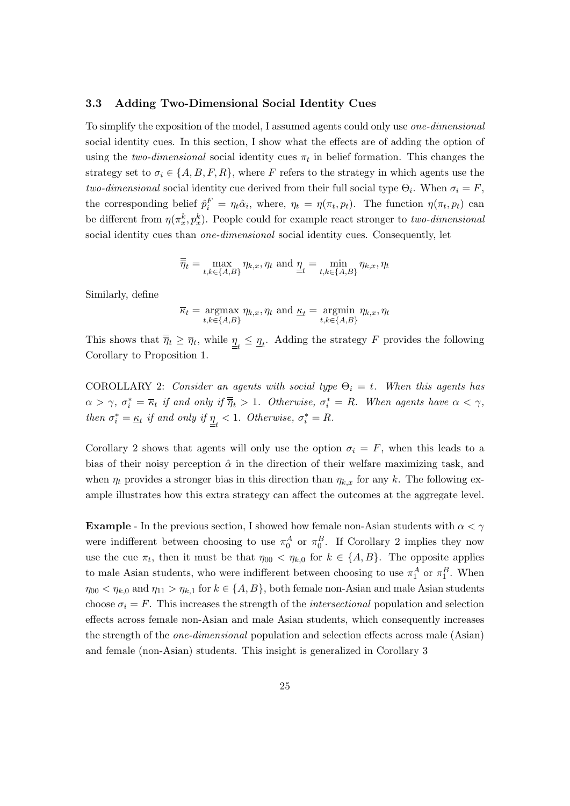#### 3.3 Adding Two-Dimensional Social Identity Cues

To simplify the exposition of the model, I assumed agents could only use one-dimensional social identity cues. In this section, I show what the effects are of adding the option of using the *two-dimensional* social identity cues  $\pi_t$  in belief formation. This changes the strategy set to  $\sigma_i \in \{A, B, F, R\}$ , where F refers to the strategy in which agents use the two-dimensional social identity cue derived from their full social type  $\Theta_i$ . When  $\sigma_i = F$ , the corresponding belief  $\hat{p}_i^F = \eta_t \hat{\alpha}_i$ , where,  $\eta_t = \eta(\pi_t, p_t)$ . The function  $\eta(\pi_t, p_t)$  can be different from  $\eta(\pi_x^k, p_x^k)$ . People could for example react stronger to two-dimensional social identity cues than *one-dimensional* social identity cues. Consequently, let

$$
\overline{\overline{\eta}}_t = \max_{t,k \in \{A,B\}} \eta_{k,x}, \eta_t \text{ and } \underline{\eta}_t = \min_{t,k \in \{A,B\}} \eta_{k,x}, \eta_t
$$

Similarly, define

$$
\overline{\kappa}_t = \underset{t,k \in \{A,B\}}{\operatorname{argmax}} \eta_{k,x}, \eta_t \text{ and } \underline{\kappa}_t = \underset{t,k \in \{A,B\}}{\operatorname{argmin}} \eta_{k,x}, \eta_t
$$

This shows that  $\overline{\overline{\eta}}_t \geq \overline{\eta}_t$ , while  $\underline{\eta}_t \leq \underline{\eta}_t$ . Adding the strategy F provides the following Corollary to Proposition 1.

COROLLARY 2: Consider an agents with social type  $\Theta_i = t$ . When this agents has  $\alpha > \gamma$ ,  $\sigma_i^* = \overline{\kappa}_t$  if and only if  $\overline{\overline{\eta}}_t > 1$ . Otherwise,  $\sigma_i^* = R$ . When agents have  $\alpha < \gamma$ , then  $\sigma_i^* = \underline{\kappa}_t$  if and only if  $\underline{\eta}_t < 1$ . Otherwise,  $\sigma_i^* = R$ .

Corollary 2 shows that agents will only use the option  $\sigma_i = F$ , when this leads to a bias of their noisy perception  $\hat{\alpha}$  in the direction of their welfare maximizing task, and when  $\eta_t$  provides a stronger bias in this direction than  $\eta_{k,x}$  for any k. The following example illustrates how this extra strategy can affect the outcomes at the aggregate level.

**Example** - In the previous section, I showed how female non-Asian students with  $\alpha < \gamma$ were indifferent between choosing to use  $\pi_0^A$  or  $\pi_0^B$ . If Corollary 2 implies they now use the cue  $\pi_t$ , then it must be that  $\eta_{00} < \eta_{k,0}$  for  $k \in \{A, B\}$ . The opposite applies to male Asian students, who were indifferent between choosing to use  $\pi_1^A$  or  $\pi_1^B$ . When  $\eta_{00} < \eta_{k,0}$  and  $\eta_{11} > \eta_{k,1}$  for  $k \in \{A, B\}$ , both female non-Asian and male Asian students choose  $\sigma_i = F$ . This increases the strength of the *intersectional* population and selection effects across female non-Asian and male Asian students, which consequently increases the strength of the one-dimensional population and selection effects across male (Asian) and female (non-Asian) students. This insight is generalized in Corollary 3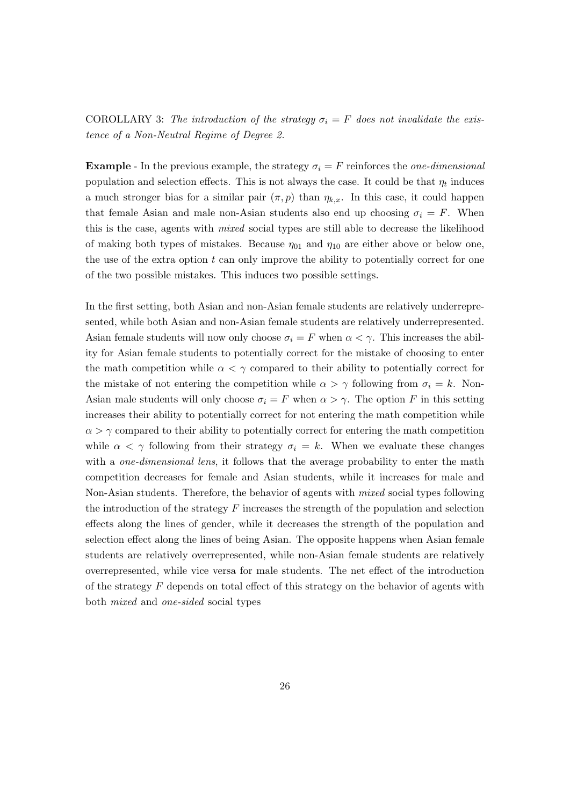COROLLARY 3: The introduction of the strategy  $\sigma_i = F$  does not invalidate the existence of a Non-Neutral Regime of Degree 2.

**Example** - In the previous example, the strategy  $\sigma_i = F$  reinforces the one-dimensional population and selection effects. This is not always the case. It could be that  $\eta_t$  induces a much stronger bias for a similar pair  $(\pi, p)$  than  $\eta_{k,x}$ . In this case, it could happen that female Asian and male non-Asian students also end up choosing  $\sigma_i = F$ . When this is the case, agents with mixed social types are still able to decrease the likelihood of making both types of mistakes. Because  $\eta_{01}$  and  $\eta_{10}$  are either above or below one, the use of the extra option t can only improve the ability to potentially correct for one of the two possible mistakes. This induces two possible settings.

In the first setting, both Asian and non-Asian female students are relatively underrepresented, while both Asian and non-Asian female students are relatively underrepresented. Asian female students will now only choose  $\sigma_i = F$  when  $\alpha < \gamma$ . This increases the ability for Asian female students to potentially correct for the mistake of choosing to enter the math competition while  $\alpha < \gamma$  compared to their ability to potentially correct for the mistake of not entering the competition while  $\alpha > \gamma$  following from  $\sigma_i = k$ . Non-Asian male students will only choose  $\sigma_i = F$  when  $\alpha > \gamma$ . The option F in this setting increases their ability to potentially correct for not entering the math competition while  $\alpha > \gamma$  compared to their ability to potentially correct for entering the math competition while  $\alpha < \gamma$  following from their strategy  $\sigma_i = k$ . When we evaluate these changes with a *one-dimensional lens*, it follows that the average probability to enter the math competition decreases for female and Asian students, while it increases for male and Non-Asian students. Therefore, the behavior of agents with *mixed* social types following the introduction of the strategy  $F$  increases the strength of the population and selection effects along the lines of gender, while it decreases the strength of the population and selection effect along the lines of being Asian. The opposite happens when Asian female students are relatively overrepresented, while non-Asian female students are relatively overrepresented, while vice versa for male students. The net effect of the introduction of the strategy  $F$  depends on total effect of this strategy on the behavior of agents with both mixed and one-sided social types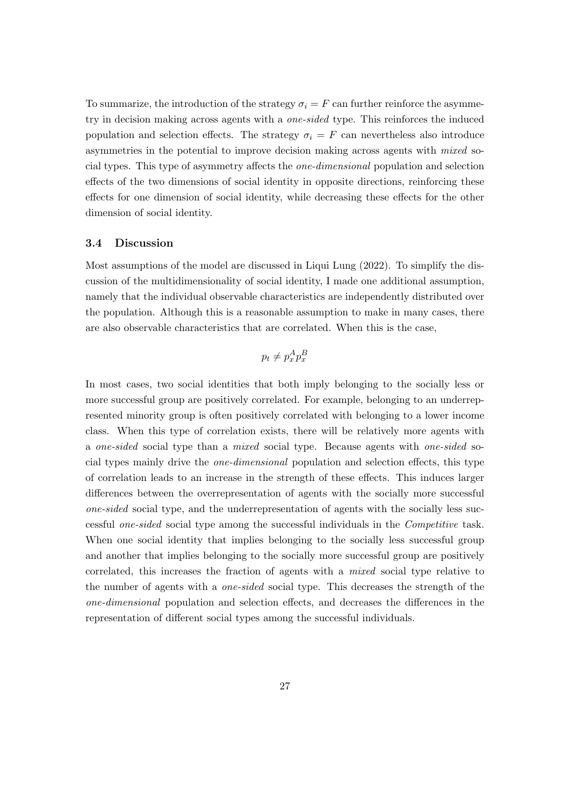To summarize, the introduction of the strategy  $\sigma_i = F$  can further reinforce the asymmetry in decision making across agents with a one-sided type. This reinforces the induced population and selection effects. The strategy  $\sigma_i = F$  can nevertheless also introduce asymmetries in the potential to improve decision making across agents with mixed social types. This type of asymmetry affects the one-dimensional population and selection effects of the two dimensions of social identity in opposite directions, reinforcing these effects for one dimension of social identity, while decreasing these effects for the other dimension of social identity.

#### 3.4 Discussion

Most assumptions of the model are discussed in Liqui Lung (2022). To simplify the discussion of the multidimensionality of social identity, I made one additional assumption, namely that the individual observable characteristics are independently distributed over the population. Although this is a reasonable assumption to make in many cases, there are also observable characteristics that are correlated. When this is the case,

$$
p_t \neq p_x^A p_x^B
$$

In most cases, two social identities that both imply belonging to the socially less or more successful group are positively correlated. For example, belonging to an underrepresented minority group is often positively correlated with belonging to a lower income class. When this type of correlation exists, there will be relatively more agents with a one-sided social type than a mixed social type. Because agents with one-sided social types mainly drive the one-dimensional population and selection effects, this type of correlation leads to an increase in the strength of these effects. This induces larger differences between the overrepresentation of agents with the socially more successful one-sided social type, and the underrepresentation of agents with the socially less successful one-sided social type among the successful individuals in the Competitive task. When one social identity that implies belonging to the socially less successful group and another that implies belonging to the socially more successful group are positively correlated, this increases the fraction of agents with a mixed social type relative to the number of agents with a one-sided social type. This decreases the strength of the one-dimensional population and selection effects, and decreases the differences in the representation of different social types among the successful individuals.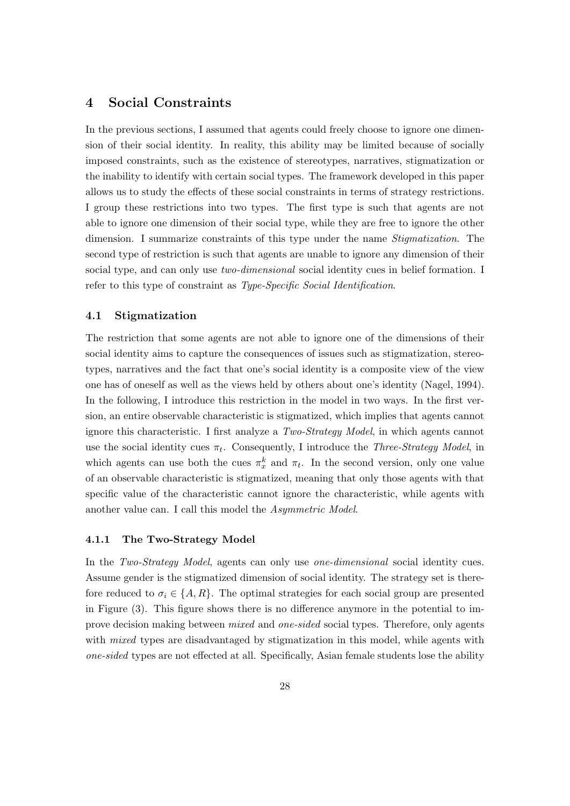### 4 Social Constraints

In the previous sections, I assumed that agents could freely choose to ignore one dimension of their social identity. In reality, this ability may be limited because of socially imposed constraints, such as the existence of stereotypes, narratives, stigmatization or the inability to identify with certain social types. The framework developed in this paper allows us to study the effects of these social constraints in terms of strategy restrictions. I group these restrictions into two types. The first type is such that agents are not able to ignore one dimension of their social type, while they are free to ignore the other dimension. I summarize constraints of this type under the name *Stigmatization*. The second type of restriction is such that agents are unable to ignore any dimension of their social type, and can only use *two-dimensional* social identity cues in belief formation. I refer to this type of constraint as Type-Specific Social Identification.

### 4.1 Stigmatization

The restriction that some agents are not able to ignore one of the dimensions of their social identity aims to capture the consequences of issues such as stigmatization, stereotypes, narratives and the fact that one's social identity is a composite view of the view one has of oneself as well as the views held by others about one's identity (Nagel, 1994). In the following, I introduce this restriction in the model in two ways. In the first version, an entire observable characteristic is stigmatized, which implies that agents cannot ignore this characteristic. I first analyze a Two-Strategy Model, in which agents cannot use the social identity cues  $\pi_t$ . Consequently, I introduce the *Three-Strategy Model*, in which agents can use both the cues  $\pi_x^k$  and  $\pi_t$ . In the second version, only one value of an observable characteristic is stigmatized, meaning that only those agents with that specific value of the characteristic cannot ignore the characteristic, while agents with another value can. I call this model the Asymmetric Model.

### 4.1.1 The Two-Strategy Model

In the Two-Strategy Model, agents can only use one-dimensional social identity cues. Assume gender is the stigmatized dimension of social identity. The strategy set is therefore reduced to  $\sigma_i \in \{A, R\}$ . The optimal strategies for each social group are presented in Figure (3). This figure shows there is no difference anymore in the potential to improve decision making between mixed and one-sided social types. Therefore, only agents with *mixed* types are disadvantaged by stigmatization in this model, while agents with one-sided types are not effected at all. Specifically, Asian female students lose the ability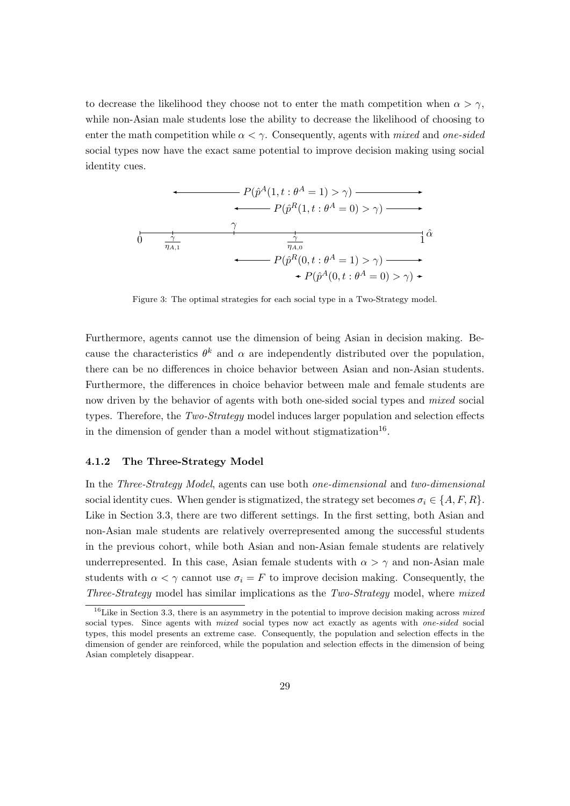to decrease the likelihood they choose not to enter the math competition when  $\alpha > \gamma$ , while non-Asian male students lose the ability to decrease the likelihood of choosing to enter the math competition while  $\alpha < \gamma$ . Consequently, agents with mixed and one-sided social types now have the exact same potential to improve decision making using social identity cues.



Figure 3: The optimal strategies for each social type in a Two-Strategy model.

Furthermore, agents cannot use the dimension of being Asian in decision making. Because the characteristics  $\theta^k$  and  $\alpha$  are independently distributed over the population, there can be no differences in choice behavior between Asian and non-Asian students. Furthermore, the differences in choice behavior between male and female students are now driven by the behavior of agents with both one-sided social types and *mixed* social types. Therefore, the Two-Strategy model induces larger population and selection effects in the dimension of gender than a model without stigmatization<sup>16</sup>.

#### 4.1.2 The Three-Strategy Model

In the Three-Strategy Model, agents can use both one-dimensional and two-dimensional social identity cues. When gender is stigmatized, the strategy set becomes  $\sigma_i \in \{A, F, R\}$ . Like in Section 3.3, there are two different settings. In the first setting, both Asian and non-Asian male students are relatively overrepresented among the successful students in the previous cohort, while both Asian and non-Asian female students are relatively underrepresented. In this case, Asian female students with  $\alpha > \gamma$  and non-Asian male students with  $\alpha < \gamma$  cannot use  $\sigma_i = F$  to improve decision making. Consequently, the Three-Strategy model has similar implications as the Two-Strategy model, where mixed

 $16$ Like in Section 3.3, there is an asymmetry in the potential to improve decision making across mixed social types. Since agents with *mixed* social types now act exactly as agents with *one-sided* social types, this model presents an extreme case. Consequently, the population and selection effects in the dimension of gender are reinforced, while the population and selection effects in the dimension of being Asian completely disappear.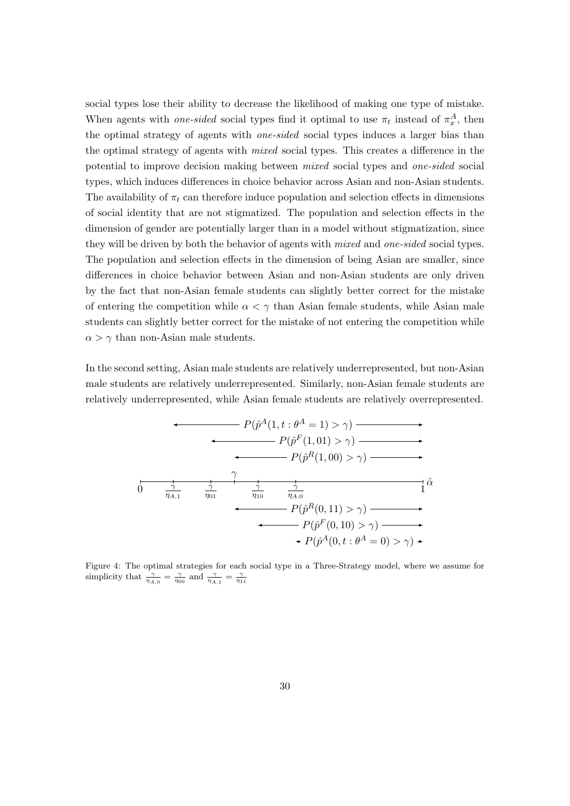social types lose their ability to decrease the likelihood of making one type of mistake. When agents with *one-sided* social types find it optimal to use  $\pi_t$  instead of  $\pi_x^A$ , then the optimal strategy of agents with one-sided social types induces a larger bias than the optimal strategy of agents with mixed social types. This creates a difference in the potential to improve decision making between mixed social types and one-sided social types, which induces differences in choice behavior across Asian and non-Asian students. The availability of  $\pi_t$  can therefore induce population and selection effects in dimensions of social identity that are not stigmatized. The population and selection effects in the dimension of gender are potentially larger than in a model without stigmatization, since they will be driven by both the behavior of agents with *mixed* and *one-sided* social types. The population and selection effects in the dimension of being Asian are smaller, since differences in choice behavior between Asian and non-Asian students are only driven by the fact that non-Asian female students can slightly better correct for the mistake of entering the competition while  $\alpha < \gamma$  than Asian female students, while Asian male students can slightly better correct for the mistake of not entering the competition while  $\alpha > \gamma$  than non-Asian male students.

In the second setting, Asian male students are relatively underrepresented, but non-Asian male students are relatively underrepresented. Similarly, non-Asian female students are relatively underrepresented, while Asian female students are relatively overrepresented.

$$
P(\hat{p}^{A}(1, t: \theta^{A} = 1) > \gamma) \longrightarrow
$$
  
\n
$$
P(\hat{p}^{F}(1, 01) > \gamma) \longrightarrow
$$
  
\n
$$
P(\hat{p}^{R}(1, 00) > \gamma) \longrightarrow
$$
  
\n
$$
\frac{\gamma}{\eta_{A,1}} \frac{\gamma}{\eta_{01}} \frac{\gamma}{\eta_{10}} \frac{\gamma}{\eta_{A,0}} \frac{\gamma}{\eta_{A,0}} \frac{\gamma}{\eta_{A,0}} \gamma_{11} \hat{\alpha}
$$
  
\n
$$
P(\hat{p}^{R}(0, 11) > \gamma) \longrightarrow
$$
  
\n
$$
+ P(\hat{p}^{A}(0, t: \theta^{A} = 0) > \gamma) \longrightarrow
$$

Figure 4: The optimal strategies for each social type in a Three-Strategy model, where we assume for simplicity that  $\frac{\gamma}{\eta_{A,0}} = \frac{\gamma}{\eta_{00}}$  and  $\frac{\gamma}{\eta_{A,1}} = \frac{\gamma}{\eta_{11}}$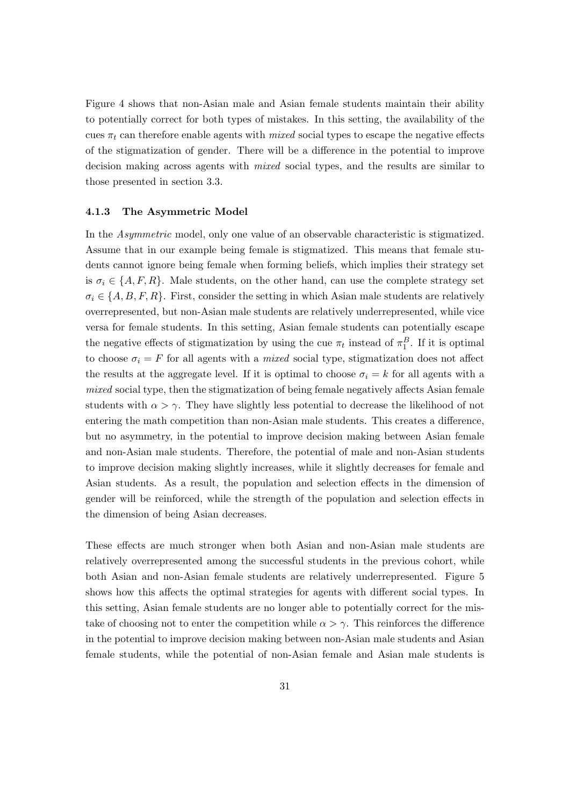Figure 4 shows that non-Asian male and Asian female students maintain their ability to potentially correct for both types of mistakes. In this setting, the availability of the cues  $\pi_t$  can therefore enable agents with *mixed* social types to escape the negative effects of the stigmatization of gender. There will be a difference in the potential to improve decision making across agents with mixed social types, and the results are similar to those presented in section 3.3.

#### 4.1.3 The Asymmetric Model

In the Asymmetric model, only one value of an observable characteristic is stigmatized. Assume that in our example being female is stigmatized. This means that female students cannot ignore being female when forming beliefs, which implies their strategy set is  $\sigma_i \in \{A, F, R\}$ . Male students, on the other hand, can use the complete strategy set  $\sigma_i \in \{A, B, F, R\}$ . First, consider the setting in which Asian male students are relatively overrepresented, but non-Asian male students are relatively underrepresented, while vice versa for female students. In this setting, Asian female students can potentially escape the negative effects of stigmatization by using the cue  $\pi_t$  instead of  $\pi_1^B$ . If it is optimal to choose  $\sigma_i = F$  for all agents with a *mixed* social type, stigmatization does not affect the results at the aggregate level. If it is optimal to choose  $\sigma_i = k$  for all agents with a mixed social type, then the stigmatization of being female negatively affects Asian female students with  $\alpha > \gamma$ . They have slightly less potential to decrease the likelihood of not entering the math competition than non-Asian male students. This creates a difference, but no asymmetry, in the potential to improve decision making between Asian female and non-Asian male students. Therefore, the potential of male and non-Asian students to improve decision making slightly increases, while it slightly decreases for female and Asian students. As a result, the population and selection effects in the dimension of gender will be reinforced, while the strength of the population and selection effects in the dimension of being Asian decreases.

These effects are much stronger when both Asian and non-Asian male students are relatively overrepresented among the successful students in the previous cohort, while both Asian and non-Asian female students are relatively underrepresented. Figure 5 shows how this affects the optimal strategies for agents with different social types. In this setting, Asian female students are no longer able to potentially correct for the mistake of choosing not to enter the competition while  $\alpha > \gamma$ . This reinforces the difference in the potential to improve decision making between non-Asian male students and Asian female students, while the potential of non-Asian female and Asian male students is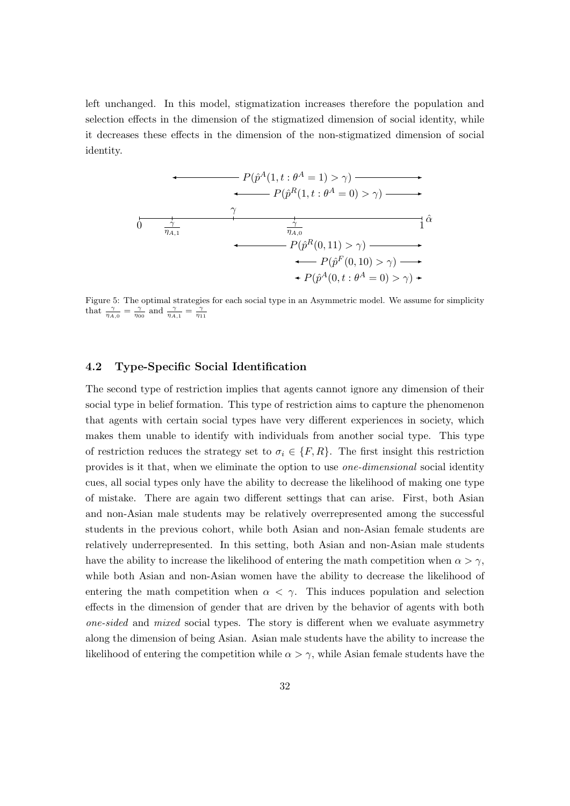left unchanged. In this model, stigmatization increases therefore the population and selection effects in the dimension of the stigmatized dimension of social identity, while it decreases these effects in the dimension of the non-stigmatized dimension of social identity.



Figure 5: The optimal strategies for each social type in an Asymmetric model. We assume for simplicity that  $\frac{\gamma}{\eta_{A,0}} = \frac{\gamma}{\eta_{00}}$  and  $\frac{\gamma}{\eta_{A,1}} = \frac{\gamma}{\eta_{11}}$ 

### 4.2 Type-Specific Social Identification

The second type of restriction implies that agents cannot ignore any dimension of their social type in belief formation. This type of restriction aims to capture the phenomenon that agents with certain social types have very different experiences in society, which makes them unable to identify with individuals from another social type. This type of restriction reduces the strategy set to  $\sigma_i \in \{F, R\}$ . The first insight this restriction provides is it that, when we eliminate the option to use one-dimensional social identity cues, all social types only have the ability to decrease the likelihood of making one type of mistake. There are again two different settings that can arise. First, both Asian and non-Asian male students may be relatively overrepresented among the successful students in the previous cohort, while both Asian and non-Asian female students are relatively underrepresented. In this setting, both Asian and non-Asian male students have the ability to increase the likelihood of entering the math competition when  $\alpha > \gamma$ , while both Asian and non-Asian women have the ability to decrease the likelihood of entering the math competition when  $\alpha < \gamma$ . This induces population and selection effects in the dimension of gender that are driven by the behavior of agents with both one-sided and mixed social types. The story is different when we evaluate asymmetry along the dimension of being Asian. Asian male students have the ability to increase the likelihood of entering the competition while  $\alpha > \gamma$ , while Asian female students have the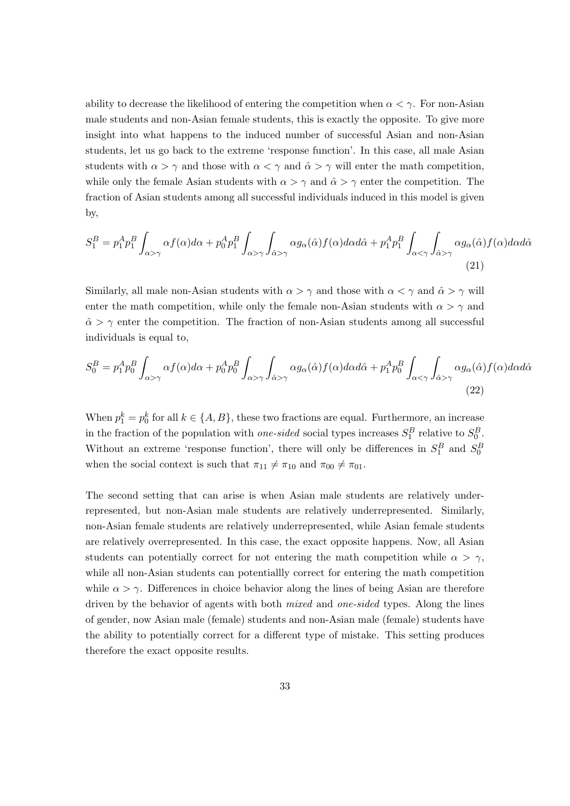ability to decrease the likelihood of entering the competition when  $\alpha < \gamma$ . For non-Asian male students and non-Asian female students, this is exactly the opposite. To give more insight into what happens to the induced number of successful Asian and non-Asian students, let us go back to the extreme 'response function'. In this case, all male Asian students with  $\alpha > \gamma$  and those with  $\alpha < \gamma$  and  $\hat{\alpha} > \gamma$  will enter the math competition, while only the female Asian students with  $\alpha > \gamma$  and  $\hat{\alpha} > \gamma$  enter the competition. The fraction of Asian students among all successful individuals induced in this model is given by,

$$
S_1^B = p_1^A p_1^B \int_{\alpha > \gamma} \alpha f(\alpha) d\alpha + p_0^A p_1^B \int_{\alpha > \gamma} \int_{\hat{\alpha} > \gamma} \alpha g_{\alpha}(\hat{\alpha}) f(\alpha) d\alpha d\hat{\alpha} + p_1^A p_1^B \int_{\alpha < \gamma} \int_{\hat{\alpha} > \gamma} \alpha g_{\alpha}(\hat{\alpha}) f(\alpha) d\alpha d\hat{\alpha}
$$
\n(21)

Similarly, all male non-Asian students with  $\alpha > \gamma$  and those with  $\alpha < \gamma$  and  $\hat{\alpha} > \gamma$  will enter the math competition, while only the female non-Asian students with  $\alpha > \gamma$  and  $\hat{\alpha} > \gamma$  enter the competition. The fraction of non-Asian students among all successful individuals is equal to,

$$
S_0^B = p_1^A p_0^B \int_{\alpha > \gamma} \alpha f(\alpha) d\alpha + p_0^A p_0^B \int_{\alpha > \gamma} \int_{\hat{\alpha} > \gamma} \alpha g_\alpha(\hat{\alpha}) f(\alpha) d\alpha d\hat{\alpha} + p_1^A p_0^B \int_{\alpha < \gamma} \int_{\hat{\alpha} > \gamma} \alpha g_\alpha(\hat{\alpha}) f(\alpha) d\alpha d\hat{\alpha}
$$
\n(22)

When  $p_1^k = p_0^k$  for all  $k \in \{A, B\}$ , these two fractions are equal. Furthermore, an increase in the fraction of the population with *one-sided* social types increases  $S_1^B$  relative to  $S_0^B$ . Without an extreme 'response function', there will only be differences in  $S_1^B$  and  $S_0^B$ when the social context is such that  $\pi_{11} \neq \pi_{10}$  and  $\pi_{00} \neq \pi_{01}$ .

The second setting that can arise is when Asian male students are relatively underrepresented, but non-Asian male students are relatively underrepresented. Similarly, non-Asian female students are relatively underrepresented, while Asian female students are relatively overrepresented. In this case, the exact opposite happens. Now, all Asian students can potentially correct for not entering the math competition while  $\alpha > \gamma$ , while all non-Asian students can potentiallly correct for entering the math competition while  $\alpha > \gamma$ . Differences in choice behavior along the lines of being Asian are therefore driven by the behavior of agents with both *mixed* and *one-sided* types. Along the lines of gender, now Asian male (female) students and non-Asian male (female) students have the ability to potentially correct for a different type of mistake. This setting produces therefore the exact opposite results.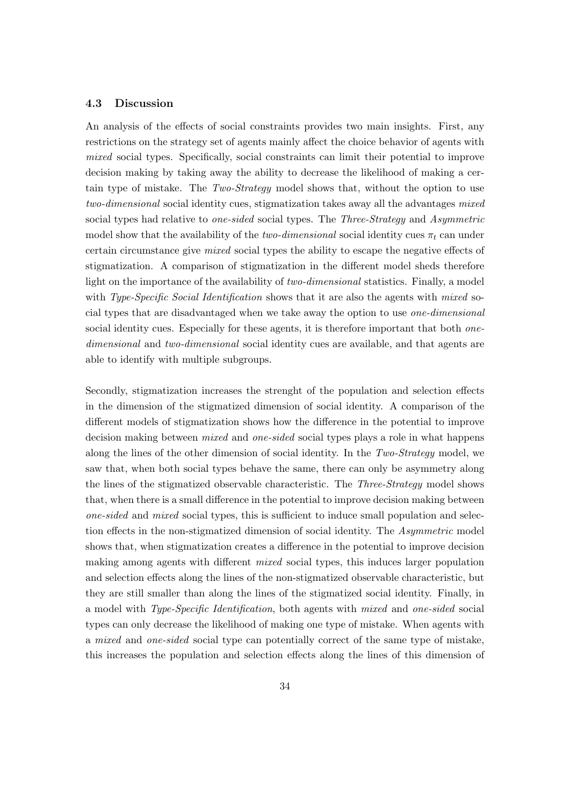### 4.3 Discussion

An analysis of the effects of social constraints provides two main insights. First, any restrictions on the strategy set of agents mainly affect the choice behavior of agents with mixed social types. Specifically, social constraints can limit their potential to improve decision making by taking away the ability to decrease the likelihood of making a certain type of mistake. The Two-Strategy model shows that, without the option to use two-dimensional social identity cues, stigmatization takes away all the advantages mixed social types had relative to one-sided social types. The Three-Strategy and Asymmetric model show that the availability of the two-dimensional social identity cues  $\pi_t$  can under certain circumstance give mixed social types the ability to escape the negative effects of stigmatization. A comparison of stigmatization in the different model sheds therefore light on the importance of the availability of two-dimensional statistics. Finally, a model with Type-Specific Social Identification shows that it are also the agents with mixed social types that are disadvantaged when we take away the option to use one-dimensional social identity cues. Especially for these agents, it is therefore important that both *one*dimensional and two-dimensional social identity cues are available, and that agents are able to identify with multiple subgroups.

Secondly, stigmatization increases the strenght of the population and selection effects in the dimension of the stigmatized dimension of social identity. A comparison of the different models of stigmatization shows how the difference in the potential to improve decision making between *mixed* and *one-sided* social types plays a role in what happens along the lines of the other dimension of social identity. In the Two-Strategy model, we saw that, when both social types behave the same, there can only be asymmetry along the lines of the stigmatized observable characteristic. The *Three-Strategy* model shows that, when there is a small difference in the potential to improve decision making between one-sided and mixed social types, this is sufficient to induce small population and selection effects in the non-stigmatized dimension of social identity. The Asymmetric model shows that, when stigmatization creates a difference in the potential to improve decision making among agents with different mixed social types, this induces larger population and selection effects along the lines of the non-stigmatized observable characteristic, but they are still smaller than along the lines of the stigmatized social identity. Finally, in a model with Type-Specific Identification, both agents with mixed and one-sided social types can only decrease the likelihood of making one type of mistake. When agents with a mixed and one-sided social type can potentially correct of the same type of mistake, this increases the population and selection effects along the lines of this dimension of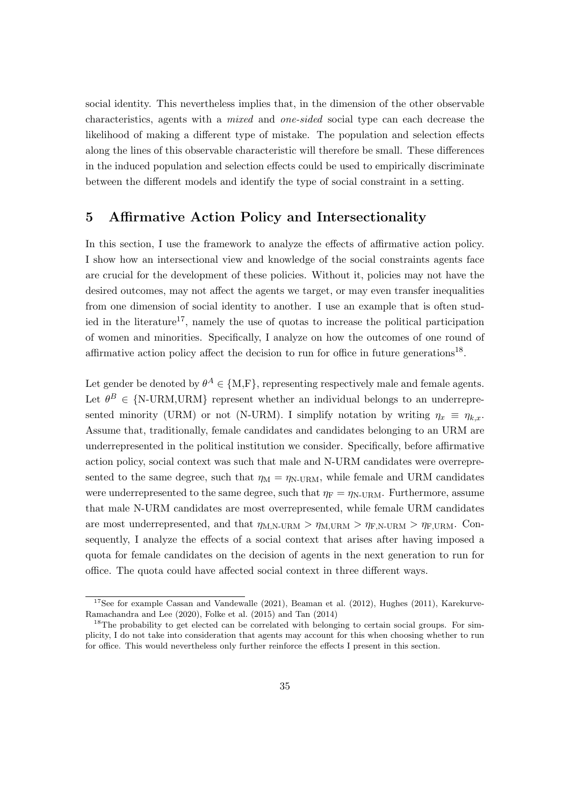social identity. This nevertheless implies that, in the dimension of the other observable characteristics, agents with a mixed and one-sided social type can each decrease the likelihood of making a different type of mistake. The population and selection effects along the lines of this observable characteristic will therefore be small. These differences in the induced population and selection effects could be used to empirically discriminate between the different models and identify the type of social constraint in a setting.

### 5 Affirmative Action Policy and Intersectionality

In this section, I use the framework to analyze the effects of affirmative action policy. I show how an intersectional view and knowledge of the social constraints agents face are crucial for the development of these policies. Without it, policies may not have the desired outcomes, may not affect the agents we target, or may even transfer inequalities from one dimension of social identity to another. I use an example that is often studied in the literature<sup>17</sup>, namely the use of quotas to increase the political participation of women and minorities. Specifically, I analyze on how the outcomes of one round of affirmative action policy affect the decision to run for office in future generations<sup>18</sup>.

Let gender be denoted by  $\theta^A \in \{M, F\}$ , representing respectively male and female agents. Let  $\theta^B \in \{N\text{-}URM, \text{URM}\}\$  represent whether an individual belongs to an underrepresented minority (URM) or not (N-URM). I simplify notation by writing  $\eta_x \equiv \eta_{k,x}$ . Assume that, traditionally, female candidates and candidates belonging to an URM are underrepresented in the political institution we consider. Specifically, before affirmative action policy, social context was such that male and N-URM candidates were overrepresented to the same degree, such that  $\eta_M = \eta_{N-URM}$ , while female and URM candidates were underrepresented to the same degree, such that  $\eta_F = \eta_{N-URM}$ . Furthermore, assume that male N-URM candidates are most overrepresented, while female URM candidates are most underrepresented, and that  $\eta_{M,N-URM} > \eta_{M,URM} > \eta_{F,N-URM} > \eta_{F,URM}$ . Consequently, I analyze the effects of a social context that arises after having imposed a quota for female candidates on the decision of agents in the next generation to run for office. The quota could have affected social context in three different ways.

<sup>&</sup>lt;sup>17</sup>See for example Cassan and Vandewalle (2021), Beaman et al. (2012), Hughes (2011), Karekurve-Ramachandra and Lee (2020), Folke et al. (2015) and Tan (2014)

<sup>&</sup>lt;sup>18</sup>The probability to get elected can be correlated with belonging to certain social groups. For simplicity, I do not take into consideration that agents may account for this when choosing whether to run for office. This would nevertheless only further reinforce the effects I present in this section.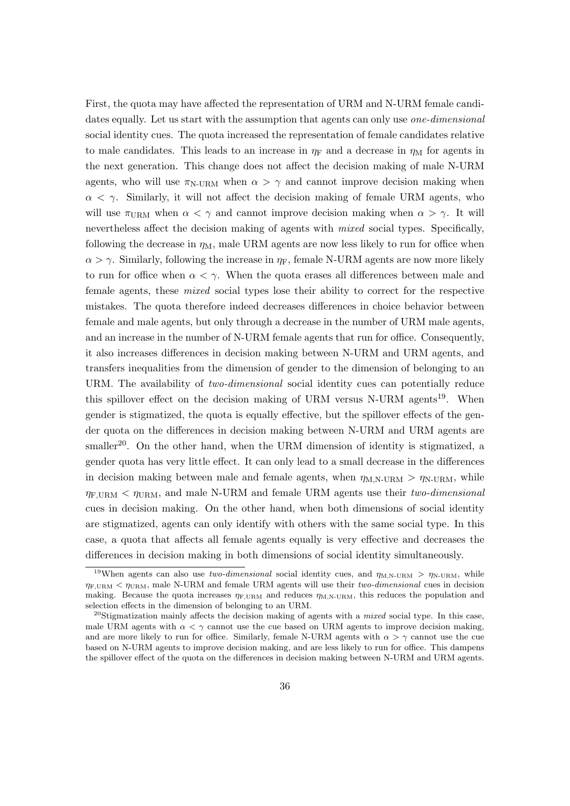First, the quota may have affected the representation of URM and N-URM female candidates equally. Let us start with the assumption that agents can only use *one-dimensional* social identity cues. The quota increased the representation of female candidates relative to male candidates. This leads to an increase in  $\eta_F$  and a decrease in  $\eta_M$  for agents in the next generation. This change does not affect the decision making of male N-URM agents, who will use  $\pi_{\text{N-URM}}$  when  $\alpha > \gamma$  and cannot improve decision making when  $\alpha < \gamma$ . Similarly, it will not affect the decision making of female URM agents, who will use  $\pi_{\text{URM}}$  when  $\alpha < \gamma$  and cannot improve decision making when  $\alpha > \gamma$ . It will nevertheless affect the decision making of agents with *mixed* social types. Specifically, following the decrease in  $\eta_M$ , male URM agents are now less likely to run for office when  $\alpha > \gamma$ . Similarly, following the increase in  $\eta_F$ , female N-URM agents are now more likely to run for office when  $\alpha < \gamma$ . When the quota erases all differences between male and female agents, these mixed social types lose their ability to correct for the respective mistakes. The quota therefore indeed decreases differences in choice behavior between female and male agents, but only through a decrease in the number of URM male agents, and an increase in the number of N-URM female agents that run for office. Consequently, it also increases differences in decision making between N-URM and URM agents, and transfers inequalities from the dimension of gender to the dimension of belonging to an URM. The availability of *two-dimensional* social identity cues can potentially reduce this spillover effect on the decision making of URM versus  $N$ -URM agents<sup>19</sup>. When gender is stigmatized, the quota is equally effective, but the spillover effects of the gender quota on the differences in decision making between N-URM and URM agents are smaller<sup>20</sup>. On the other hand, when the URM dimension of identity is stigmatized, a gender quota has very little effect. It can only lead to a small decrease in the differences in decision making between male and female agents, when  $\eta_{\text{M,N-URM}} > \eta_{\text{N-URM}}$ , while  $\eta_{\text{F,URM}} < \eta_{\text{URM}}$ , and male N-URM and female URM agents use their two-dimensional cues in decision making. On the other hand, when both dimensions of social identity are stigmatized, agents can only identify with others with the same social type. In this case, a quota that affects all female agents equally is very effective and decreases the differences in decision making in both dimensions of social identity simultaneously.

<sup>&</sup>lt;sup>19</sup>When agents can also use two-dimensional social identity cues, and  $\eta_{M,N-URM} > \eta_{N-URM}$ , while  $\eta_{\text{F,UBM}} < \eta_{\text{UBM}}$ , male N-URM and female URM agents will use their two-dimensional cues in decision making. Because the quota increases  $\eta_{\text{F,URM}}$  and reduces  $\eta_{\text{M,N-URM}}$ , this reduces the population and selection effects in the dimension of belonging to an URM.

<sup>&</sup>lt;sup>20</sup>Stigmatization mainly affects the decision making of agents with a *mixed* social type. In this case, male URM agents with  $\alpha < \gamma$  cannot use the cue based on URM agents to improve decision making, and are more likely to run for office. Similarly, female N-URM agents with  $\alpha > \gamma$  cannot use the cue based on N-URM agents to improve decision making, and are less likely to run for office. This dampens the spillover effect of the quota on the differences in decision making between N-URM and URM agents.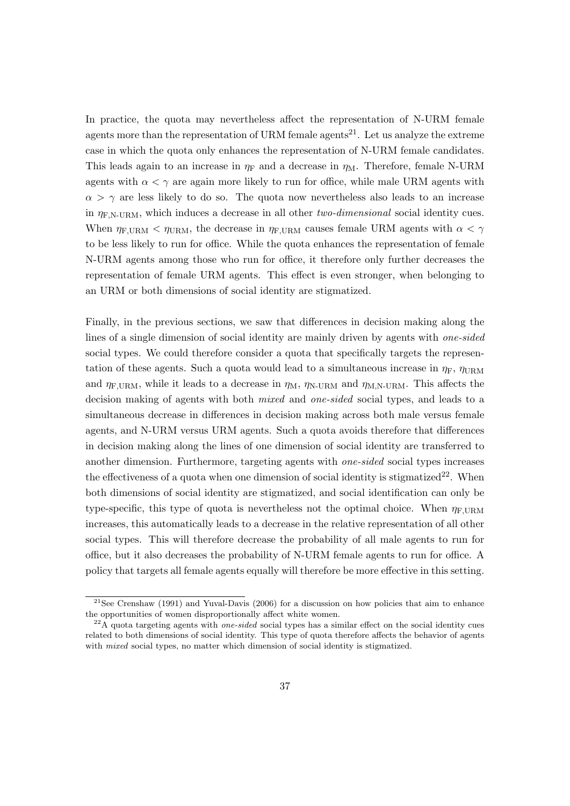In practice, the quota may nevertheless affect the representation of N-URM female agents more than the representation of URM female agents<sup>21</sup>. Let us analyze the extreme case in which the quota only enhances the representation of N-URM female candidates. This leads again to an increase in  $\eta_F$  and a decrease in  $\eta_M$ . Therefore, female N-URM agents with  $\alpha < \gamma$  are again more likely to run for office, while male URM agents with  $\alpha > \gamma$  are less likely to do so. The quota now nevertheless also leads to an increase in  $\eta_{\text{F.N-URM}}$ , which induces a decrease in all other two-dimensional social identity cues. When  $\eta_{\text{F,URM}} < \eta_{\text{URM}}$ , the decrease in  $\eta_{\text{F,URM}}$  causes female URM agents with  $\alpha < \gamma$ to be less likely to run for office. While the quota enhances the representation of female N-URM agents among those who run for office, it therefore only further decreases the representation of female URM agents. This effect is even stronger, when belonging to an URM or both dimensions of social identity are stigmatized.

Finally, in the previous sections, we saw that differences in decision making along the lines of a single dimension of social identity are mainly driven by agents with one-sided social types. We could therefore consider a quota that specifically targets the representation of these agents. Such a quota would lead to a simultaneous increase in  $\eta_F$ ,  $\eta_{\text{URM}}$ and  $\eta_{\text{F,URM}}$ , while it leads to a decrease in  $\eta_{\text{M}}$ ,  $\eta_{\text{N-URM}}$  and  $\eta_{\text{M,N-URM}}$ . This affects the decision making of agents with both *mixed* and *one-sided* social types, and leads to a simultaneous decrease in differences in decision making across both male versus female agents, and N-URM versus URM agents. Such a quota avoids therefore that differences in decision making along the lines of one dimension of social identity are transferred to another dimension. Furthermore, targeting agents with one-sided social types increases the effectiveness of a quota when one dimension of social identity is stigmatized<sup>22</sup>. When both dimensions of social identity are stigmatized, and social identification can only be type-specific, this type of quota is nevertheless not the optimal choice. When  $\eta_{\text{F,UBM}}$ increases, this automatically leads to a decrease in the relative representation of all other social types. This will therefore decrease the probability of all male agents to run for office, but it also decreases the probability of N-URM female agents to run for office. A policy that targets all female agents equally will therefore be more effective in this setting.

<sup>&</sup>lt;sup>21</sup>See Crenshaw (1991) and Yuval-Davis (2006) for a discussion on how policies that aim to enhance the opportunities of women disproportionally affect white women.

 $^{22}$ A quota targeting agents with *one-sided* social types has a similar effect on the social identity cues related to both dimensions of social identity. This type of quota therefore affects the behavior of agents with *mixed* social types, no matter which dimension of social identity is stigmatized.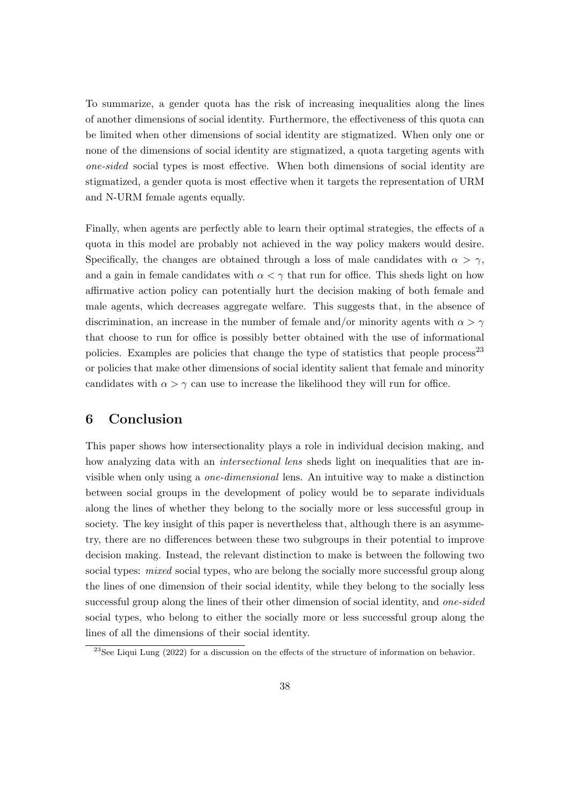To summarize, a gender quota has the risk of increasing inequalities along the lines of another dimensions of social identity. Furthermore, the effectiveness of this quota can be limited when other dimensions of social identity are stigmatized. When only one or none of the dimensions of social identity are stigmatized, a quota targeting agents with one-sided social types is most effective. When both dimensions of social identity are stigmatized, a gender quota is most effective when it targets the representation of URM and N-URM female agents equally.

Finally, when agents are perfectly able to learn their optimal strategies, the effects of a quota in this model are probably not achieved in the way policy makers would desire. Specifically, the changes are obtained through a loss of male candidates with  $\alpha > \gamma$ , and a gain in female candidates with  $\alpha < \gamma$  that run for office. This sheds light on how affirmative action policy can potentially hurt the decision making of both female and male agents, which decreases aggregate welfare. This suggests that, in the absence of discrimination, an increase in the number of female and/or minority agents with  $\alpha > \gamma$ that choose to run for office is possibly better obtained with the use of informational policies. Examples are policies that change the type of statistics that people process<sup>23</sup> or policies that make other dimensions of social identity salient that female and minority candidates with  $\alpha > \gamma$  can use to increase the likelihood they will run for office.

## 6 Conclusion

This paper shows how intersectionality plays a role in individual decision making, and how analyzing data with an *intersectional lens* sheds light on inequalities that are invisible when only using a one-dimensional lens. An intuitive way to make a distinction between social groups in the development of policy would be to separate individuals along the lines of whether they belong to the socially more or less successful group in society. The key insight of this paper is nevertheless that, although there is an asymmetry, there are no differences between these two subgroups in their potential to improve decision making. Instead, the relevant distinction to make is between the following two social types: *mixed* social types, who are belong the socially more successful group along the lines of one dimension of their social identity, while they belong to the socially less successful group along the lines of their other dimension of social identity, and *one-sided* social types, who belong to either the socially more or less successful group along the lines of all the dimensions of their social identity.

<sup>&</sup>lt;sup>23</sup>See Liqui Lung (2022) for a discussion on the effects of the structure of information on behavior.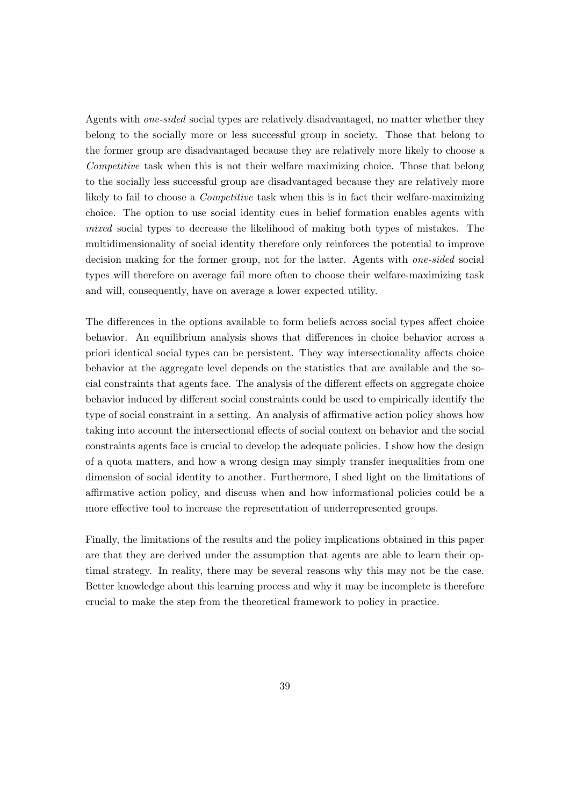Agents with one-sided social types are relatively disadvantaged, no matter whether they belong to the socially more or less successful group in society. Those that belong to the former group are disadvantaged because they are relatively more likely to choose a Competitive task when this is not their welfare maximizing choice. Those that belong to the socially less successful group are disadvantaged because they are relatively more likely to fail to choose a Competitive task when this is in fact their welfare-maximizing choice. The option to use social identity cues in belief formation enables agents with mixed social types to decrease the likelihood of making both types of mistakes. The multidimensionality of social identity therefore only reinforces the potential to improve decision making for the former group, not for the latter. Agents with one-sided social types will therefore on average fail more often to choose their welfare-maximizing task and will, consequently, have on average a lower expected utility.

The differences in the options available to form beliefs across social types affect choice behavior. An equilibrium analysis shows that differences in choice behavior across a priori identical social types can be persistent. They way intersectionality affects choice behavior at the aggregate level depends on the statistics that are available and the social constraints that agents face. The analysis of the different effects on aggregate choice behavior induced by different social constraints could be used to empirically identify the type of social constraint in a setting. An analysis of affirmative action policy shows how taking into account the intersectional effects of social context on behavior and the social constraints agents face is crucial to develop the adequate policies. I show how the design of a quota matters, and how a wrong design may simply transfer inequalities from one dimension of social identity to another. Furthermore, I shed light on the limitations of affirmative action policy, and discuss when and how informational policies could be a more effective tool to increase the representation of underrepresented groups.

Finally, the limitations of the results and the policy implications obtained in this paper are that they are derived under the assumption that agents are able to learn their optimal strategy. In reality, there may be several reasons why this may not be the case. Better knowledge about this learning process and why it may be incomplete is therefore crucial to make the step from the theoretical framework to policy in practice.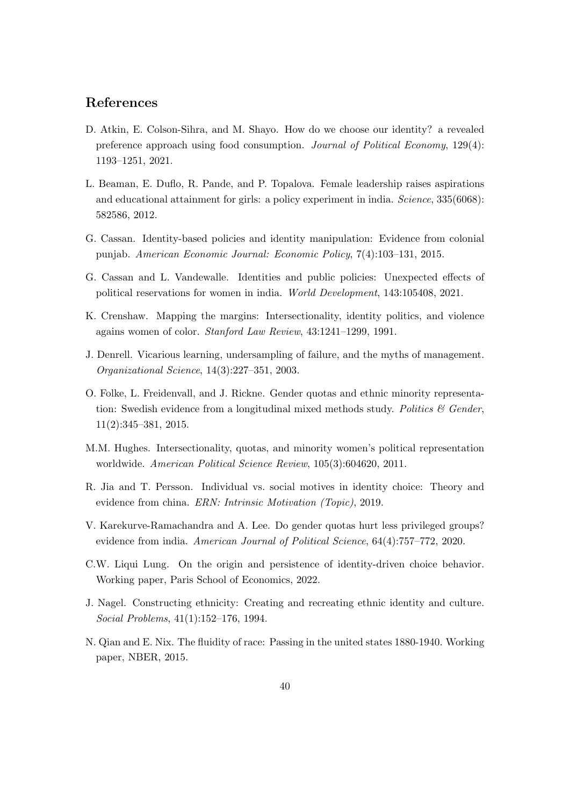### References

- D. Atkin, E. Colson-Sihra, and M. Shayo. How do we choose our identity? a revealed preference approach using food consumption. Journal of Political Economy, 129(4): 1193–1251, 2021.
- L. Beaman, E. Duflo, R. Pande, and P. Topalova. Female leadership raises aspirations and educational attainment for girls: a policy experiment in india. Science, 335(6068): 582586, 2012.
- G. Cassan. Identity-based policies and identity manipulation: Evidence from colonial punjab. American Economic Journal: Economic Policy, 7(4):103–131, 2015.
- G. Cassan and L. Vandewalle. Identities and public policies: Unexpected effects of political reservations for women in india. World Development, 143:105408, 2021.
- K. Crenshaw. Mapping the margins: Intersectionality, identity politics, and violence agains women of color. Stanford Law Review, 43:1241–1299, 1991.
- J. Denrell. Vicarious learning, undersampling of failure, and the myths of management. Organizational Science, 14(3):227–351, 2003.
- O. Folke, L. Freidenvall, and J. Rickne. Gender quotas and ethnic minority representation: Swedish evidence from a longitudinal mixed methods study. Politics  $\mathcal C$  Gender, 11(2):345–381, 2015.
- M.M. Hughes. Intersectionality, quotas, and minority women's political representation worldwide. American Political Science Review, 105(3):604620, 2011.
- R. Jia and T. Persson. Individual vs. social motives in identity choice: Theory and evidence from china. ERN: Intrinsic Motivation (Topic), 2019.
- V. Karekurve-Ramachandra and A. Lee. Do gender quotas hurt less privileged groups? evidence from india. American Journal of Political Science, 64(4):757–772, 2020.
- C.W. Liqui Lung. On the origin and persistence of identity-driven choice behavior. Working paper, Paris School of Economics, 2022.
- J. Nagel. Constructing ethnicity: Creating and recreating ethnic identity and culture. Social Problems, 41(1):152–176, 1994.
- N. Qian and E. Nix. The fluidity of race: Passing in the united states 1880-1940. Working paper, NBER, 2015.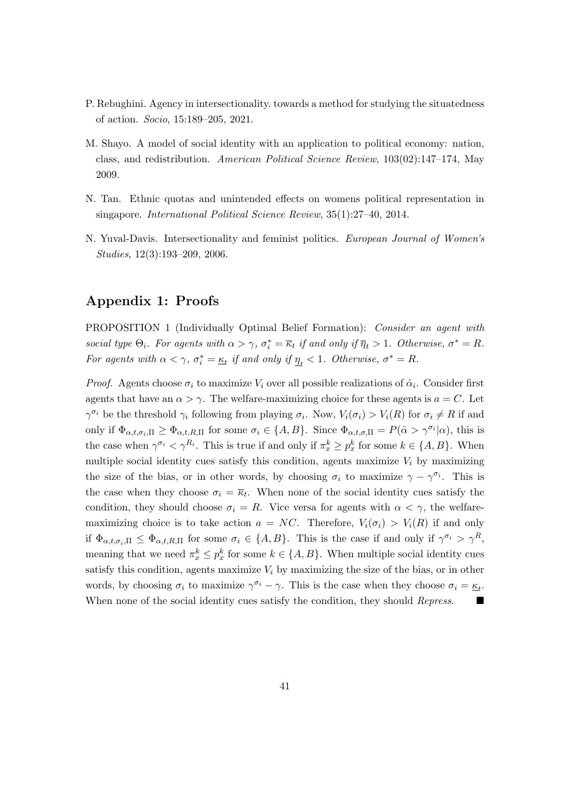- P. Rebughini. Agency in intersectionality. towards a method for studying the situatedness of action. Socio, 15:189–205, 2021.
- M. Shayo. A model of social identity with an application to political economy: nation, class, and redistribution. American Political Science Review, 103(02):147–174, May 2009.
- N. Tan. Ethnic quotas and unintended effects on womens political representation in singapore. International Political Science Review, 35(1):27–40, 2014.
- N. Yuval-Davis. Intersectionality and feminist politics. European Journal of Women's Studies, 12(3):193–209, 2006.

# Appendix 1: Proofs

PROPOSITION 1 (Individually Optimal Belief Formation): Consider an agent with social type  $\Theta_i$ . For agents with  $\alpha > \gamma$ ,  $\sigma_i^* = \overline{\kappa}_t$  if and only if  $\overline{\eta}_t > 1$ . Otherwise,  $\sigma^* = R$ . For agents with  $\alpha < \gamma$ ,  $\sigma_i^* = \underline{\kappa}_t$  if and only if  $\underline{\eta}_t < 1$ . Otherwise,  $\sigma^* = R$ .

*Proof.* Agents choose  $\sigma_i$  to maximize  $V_i$  over all possible realizations of  $\hat{\alpha}_i$ . Consider first agents that have an  $\alpha > \gamma$ . The welfare-maximizing choice for these agents is  $a = C$ . Let  $\gamma^{\sigma_i}$  be the threshold  $\gamma_i$  following from playing  $\sigma_i$ . Now,  $V_i(\sigma_i) > V_i(R)$  for  $\sigma_i \neq R$  if and only if  $\Phi_{\alpha,t,\sigma_i,\Pi} \geq \Phi_{\alpha,t,R,\Pi}$  for some  $\sigma_i \in \{A,B\}$ . Since  $\Phi_{\alpha,t,\sigma,\Pi} = P(\hat{\alpha} > \gamma^{\sigma_i}|\alpha)$ , this is the case when  $\gamma^{\sigma_i} < \gamma^{R_i}$ . This is true if and only if  $\pi_x^k \geq p_x^k$  for some  $k \in \{A, B\}$ . When multiple social identity cues satisfy this condition, agents maximize  $V_i$  by maximizing the size of the bias, or in other words, by choosing  $\sigma_i$  to maximize  $\gamma - \gamma^{\sigma_i}$ . This is the case when they choose  $\sigma_i = \overline{\kappa}_t$ . When none of the social identity cues satisfy the condition, they should choose  $\sigma_i = R$ . Vice versa for agents with  $\alpha < \gamma$ , the welfaremaximizing choice is to take action  $a = NC$ . Therefore,  $V_i(\sigma_i) > V_i(R)$  if and only if  $\Phi_{\alpha,t,\sigma_i,\Pi} \leq \Phi_{\alpha,t,R,\Pi}$  for some  $\sigma_i \in \{A,B\}$ . This is the case if and only if  $\gamma^{\sigma_i} > \gamma^R$ , meaning that we need  $\pi_x^k \leq p_x^k$  for some  $k \in \{A, B\}$ . When multiple social identity cues satisfy this condition, agents maximize  $V_i$  by maximizing the size of the bias, or in other words, by choosing  $\sigma_i$  to maximize  $\gamma^{\sigma_i} - \gamma$ . This is the case when they choose  $\sigma_i = \underline{\kappa}_t$ . When none of the social identity cues satisfy the condition, they should Repress.  $\Box$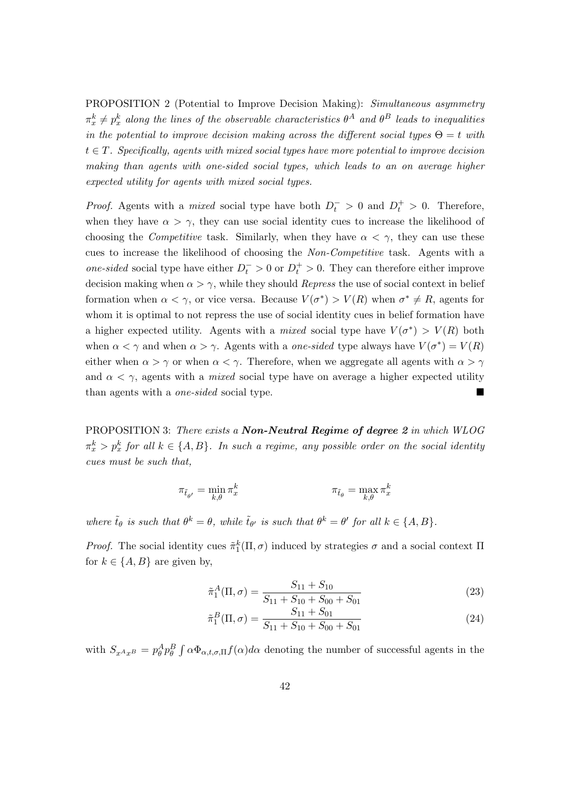PROPOSITION 2 (Potential to Improve Decision Making): Simultaneous asymmetry  $\pi^k_x \neq p^k_x$  along the lines of the observable characteristics  $\theta^A$  and  $\theta^B$  leads to inequalities in the potential to improve decision making across the different social types  $\Theta = t$  with  $t \in T$ . Specifically, agents with mixed social types have more potential to improve decision making than agents with one-sided social types, which leads to an on average higher expected utility for agents with mixed social types.

*Proof.* Agents with a *mixed* social type have both  $D_t^- > 0$  and  $D_t^+ > 0$ . Therefore, when they have  $\alpha > \gamma$ , they can use social identity cues to increase the likelihood of choosing the *Competitive* task. Similarly, when they have  $\alpha < \gamma$ , they can use these cues to increase the likelihood of choosing the Non-Competitive task. Agents with a one-sided social type have either  $D_t^- > 0$  or  $D_t^+ > 0$ . They can therefore either improve decision making when  $\alpha > \gamma$ , while they should *Repress* the use of social context in belief formation when  $\alpha < \gamma$ , or vice versa. Because  $V(\sigma^*) > V(R)$  when  $\sigma^* \neq R$ , agents for whom it is optimal to not repress the use of social identity cues in belief formation have a higher expected utility. Agents with a *mixed* social type have  $V(\sigma^*) > V(R)$  both when  $\alpha < \gamma$  and when  $\alpha > \gamma$ . Agents with a *one-sided* type always have  $V(\sigma^*) = V(R)$ either when  $\alpha > \gamma$  or when  $\alpha < \gamma$ . Therefore, when we aggregate all agents with  $\alpha > \gamma$ and  $\alpha < \gamma$ , agents with a *mixed* social type have on average a higher expected utility than agents with a one-sided social type.

PROPOSITION 3: There exists a **Non-Neutral Regime of degree 2** in which WLOG  $\pi^k_x > p^k_x$  for all  $k \in \{A, B\}$ . In such a regime, any possible order on the social identity cues must be such that,

$$
\pi_{\tilde{t}_{\theta'}} = \min_{k,\theta} \pi_x^k \qquad \qquad \pi_{\tilde{t}_{\theta}} = \max_{k,\theta} \pi_x^k
$$

where  $\tilde{t}_{\theta}$  is such that  $\theta^k = \theta$ , while  $\tilde{t}_{\theta'}$  is such that  $\theta^k = \theta'$  for all  $k \in \{A, B\}$ .

*Proof.* The social identity cues  $\tilde{\pi}_1^k(\Pi, \sigma)$  induced by strategies  $\sigma$  and a social context  $\Pi$ for  $k \in \{A, B\}$  are given by,

$$
\tilde{\pi}_1^A(\Pi, \sigma) = \frac{S_{11} + S_{10}}{S_{11} + S_{10} + S_{00} + S_{01}}\tag{23}
$$

$$
\tilde{\pi}_1^B(\Pi,\sigma) = \frac{S_{11} + S_{01}}{S_{11} + S_{10} + S_{00} + S_{01}}\tag{24}
$$

with  $S_{x^A x^B} = p_\theta^A p_\theta^B \int \alpha \Phi_{\alpha, t, \sigma, \Pi} f(\alpha) d\alpha$  denoting the number of successful agents in the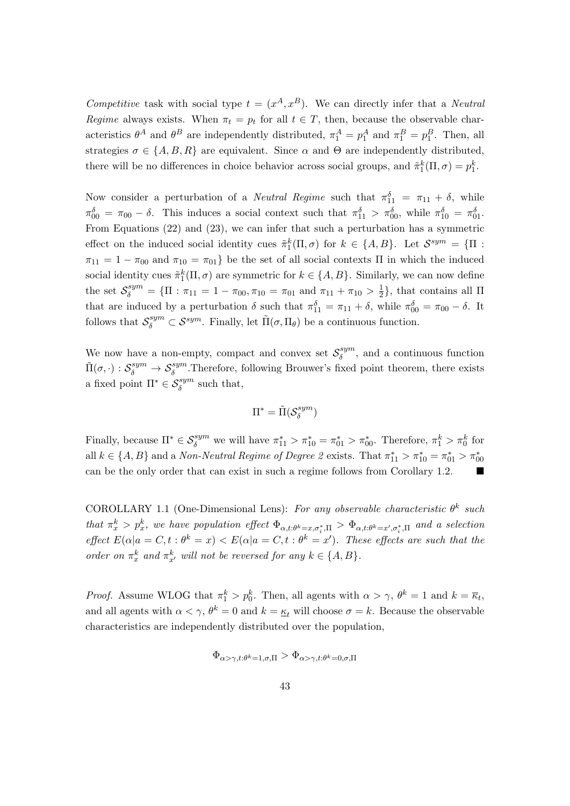Competitive task with social type  $t = (x^A, x^B)$ . We can directly infer that a *Neutral* Regime always exists. When  $\pi_t = p_t$  for all  $t \in T$ , then, because the observable characteristics  $\theta^A$  and  $\theta^B$  are independently distributed,  $\pi_1^A = p_1^A$  and  $\pi_1^B = p_1^B$ . Then, all strategies  $\sigma \in \{A, B, R\}$  are equivalent. Since  $\alpha$  and  $\Theta$  are independently distributed, there will be no differences in choice behavior across social groups, and  $\tilde{\pi}_1^k(\Pi, \sigma) = p_1^k$ .

Now consider a perturbation of a *Neutral Regime* such that  $\pi_{11}^{\delta} = \pi_{11} + \delta$ , while  $\pi_{00}^{\delta} = \pi_{00} - \delta$ . This induces a social context such that  $\pi_{11}^{\delta} > \pi_{00}^{\delta}$ , while  $\pi_{10}^{\delta} = \pi_{01}^{\delta}$ . From Equations (22) and (23), we can infer that such a perturbation has a symmetric effect on the induced social identity cues  $\tilde{\pi}_1^k(\Pi,\sigma)$  for  $k \in \{A,B\}$ . Let  $\mathcal{S}^{sym} = \{\Pi :$  $\pi_{11} = 1 - \pi_{00}$  and  $\pi_{10} = \pi_{01}$  be the set of all social contexts  $\Pi$  in which the induced social identity cues  $\tilde{\pi}_1^k(\Pi, \sigma)$  are symmetric for  $k \in \{A, B\}$ . Similarly, we can now define the set  $S_{\delta}^{sym} = {\Pi : \pi_{11} = 1 - \pi_{00}, \pi_{10} = \pi_{01} \text{ and } \pi_{11} + \pi_{10} > \frac{1}{2}}$  $\frac{1}{2}$ , that contains all  $\Pi$ that are induced by a perturbation  $\delta$  such that  $\pi_{11}^{\delta} = \pi_{11} + \delta$ , while  $\pi_{00}^{\delta} = \pi_{00} - \delta$ . It follows that  $S_\delta^{sym} \subset \mathcal{S}^{sym}$ . Finally, let  $\tilde{\Pi}(\sigma, \Pi_\theta)$  be a continuous function.

We now have a non-empty, compact and convex set  $S_\delta^{sym}$  $\delta^{\text{sym}}_{\delta}$ , and a continuous function  $\tilde{\Pi}(\sigma, \cdot) : S_\delta^{sym} \to S_\delta^{sym}$ . Therefore, following Brouwer's fixed point theorem, there exists a fixed point  $\Pi^* \in \mathcal{S}_{\delta}^{sym}$  such that,

$$
\Pi^*=\tilde{\Pi}(\mathcal{S}^{sym}_{\delta})
$$

Finally, because  $\Pi^* \in \mathcal{S}_{\delta}^{sym}$  we will have  $\pi_{11}^* > \pi_{10}^* = \pi_{01}^* > \pi_{00}^*$ . Therefore,  $\pi_1^k > \pi_0^k$  for all  $k \in \{A, B\}$  and a Non-Neutral Regime of Degree 2 exists. That  $\pi_{11}^* > \pi_{10}^* = \pi_{01}^* > \pi_{00}^*$ can be the only order that can exist in such a regime follows from Corollary 1.2.

COROLLARY 1.1 (One-Dimensional Lens): For any observable characteristic  $\theta^k$  such that  $\pi^k_x > p^k_x$ , we have population effect  $\Phi_{\alpha,t:\theta^k=x,\sigma_i^*,\Pi} > \Phi_{\alpha,t:\theta^k=x',\sigma_i^*,\Pi}$  and a selection effect  $E(\alpha|a = C, t : \theta^k = x) < E(\alpha|a = C, t : \theta^k = x')$ . These effects are such that the order on  $\pi_x^k$  and  $\pi_{x'}^k$  will not be reversed for any  $k \in \{A, B\}$ .

*Proof.* Assume WLOG that  $\pi_1^k > p_0^k$ . Then, all agents with  $\alpha > \gamma$ ,  $\theta^k = 1$  and  $k = \overline{\kappa}_t$ , and all agents with  $\alpha < \gamma$ ,  $\theta^k = 0$  and  $k = \underline{\kappa}_t$  will choose  $\sigma = k$ . Because the observable characteristics are independently distributed over the population,

$$
\Phi_{\alpha>\gamma,t:\theta^{k}=1,\sigma,\Pi} > \Phi_{\alpha>\gamma,t:\theta^{k}=0,\sigma,\Pi}
$$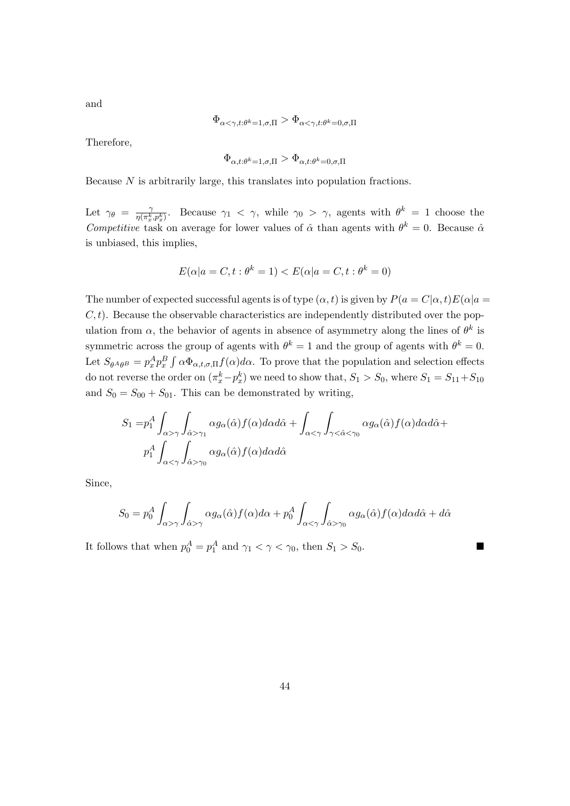$$
\Phi_{\alpha<\gamma,t:\theta^{k}=1,\sigma,\Pi} > \Phi_{\alpha<\gamma,t:\theta^{k}=0,\sigma,\Pi}
$$

Therefore,

$$
\Phi_{\alpha,t:\theta^k=1,\sigma,\Pi} > \Phi_{\alpha,t:\theta^k=0,\sigma,\Pi}
$$

Because N is arbitrarily large, this translates into population fractions.

Let  $\gamma_{\theta} = \frac{\gamma}{n(\pi^k)}$  $\frac{\gamma}{\eta(\pi_x^k, p_x^k)}$ . Because  $\gamma_1 < \gamma$ , while  $\gamma_0 > \gamma$ , agents with  $\theta^k = 1$  choose the Competitive task on average for lower values of  $\hat{\alpha}$  than agents with  $\theta^k = 0$ . Because  $\hat{\alpha}$ is unbiased, this implies,

$$
E(\alpha|a = C, t : \theta^k = 1) < E(\alpha|a = C, t : \theta^k = 0)
$$

The number of expected successful agents is of type  $(\alpha, t)$  is given by  $P(a = C|\alpha, t)E(\alpha|a =$  $C, t$ ). Because the observable characteristics are independently distributed over the population from  $\alpha$ , the behavior of agents in absence of asymmetry along the lines of  $\theta^k$  is symmetric across the group of agents with  $\theta^k = 1$  and the group of agents with  $\theta^k = 0$ . Let  $S_{\theta^A\theta^B} = p_x^A p_x^B \int \alpha \Phi_{\alpha,t,\sigma,\Pi} f(\alpha) d\alpha$ . To prove that the population and selection effects do not reverse the order on  $(\pi_x^k - p_x^k)$  we need to show that,  $S_1 > S_0$ , where  $S_1 = S_{11} + S_{10}$ and  $S_0 = S_{00} + S_{01}$ . This can be demonstrated by writing,

$$
S_1 = p_1^A \int_{\alpha > \gamma} \int_{\hat{\alpha} > \gamma_1} \alpha g_{\alpha}(\hat{\alpha}) f(\alpha) d\alpha d\hat{\alpha} + \int_{\alpha < \gamma} \int_{\gamma < \hat{\alpha} < \gamma_0} \alpha g_{\alpha}(\hat{\alpha}) f(\alpha) d\alpha d\hat{\alpha} +
$$
  

$$
p_1^A \int_{\alpha < \gamma} \int_{\hat{\alpha} > \gamma_0} \alpha g_{\alpha}(\hat{\alpha}) f(\alpha) d\alpha d\hat{\alpha}
$$

Since,

$$
S_0 = p_0^A \int_{\alpha > \gamma} \int_{\hat{\alpha} > \gamma} \alpha g_{\alpha}(\hat{\alpha}) f(\alpha) d\alpha + p_0^A \int_{\alpha < \gamma} \int_{\hat{\alpha} > \gamma_0} \alpha g_{\alpha}(\hat{\alpha}) f(\alpha) d\alpha d\hat{\alpha} + d\hat{\alpha}
$$

It follows that when  $p_0^A = p_1^A$  and  $\gamma_1 < \gamma < \gamma_0$ , then  $S_1 > S_0$ .

and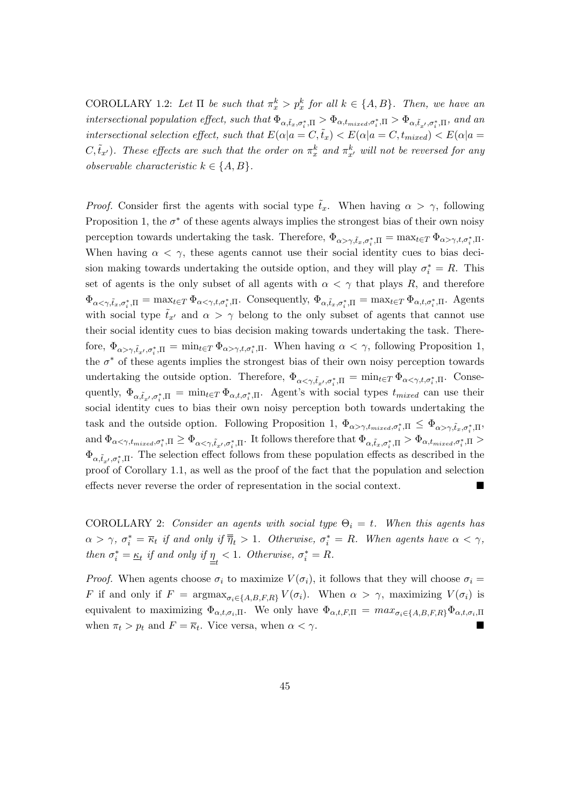COROLLARY 1.2: Let  $\Pi$  be such that  $\pi_x^k > p_x^k$  for all  $k \in \{A, B\}$ . Then, we have an intersectional population effect, such that  $\Phi_{\alpha,\tilde{t}_x,\sigma_i^*,\Pi} > \Phi_{\alpha,t_{mixed},\sigma_i^*,\Pi} > \Phi_{\alpha,\tilde{t}_{x'},\sigma_i^*,\Pi}$ , and an intersectional selection effect, such that  $E(\alpha|a = C, \tilde{t}_x) < E(\alpha|a = C, t_{mixed}) < E(\alpha|a = C)$  $C, \tilde{t}_{x'}$ ). These effects are such that the order on  $\pi_x^k$  and  $\pi_{x'}^k$  will not be reversed for any observable characteristic  $k \in \{A, B\}.$ 

*Proof.* Consider first the agents with social type  $\tilde{t}_x$ . When having  $\alpha > \gamma$ , following Proposition 1, the  $\sigma^*$  of these agents always implies the strongest bias of their own noisy perception towards undertaking the task. Therefore,  $\Phi_{\alpha>\gamma,\tilde{t}_x,\sigma_i^*,\Pi} = \max_{t \in T} \Phi_{\alpha>\gamma,t,\sigma_i^*,\Pi}$ . When having  $\alpha < \gamma$ , these agents cannot use their social identity cues to bias decision making towards undertaking the outside option, and they will play  $\sigma_i^* = R$ . This set of agents is the only subset of all agents with  $\alpha < \gamma$  that plays R, and therefore  $\Phi_{\alpha<\gamma,\tilde{t}_x,\sigma_i^*,\Pi} = \max_{t\in T} \Phi_{\alpha<\gamma,t,\sigma_i^*,\Pi}$ . Consequently,  $\Phi_{\alpha,\tilde{t}_x,\sigma_i^*,\Pi} = \max_{t\in T} \Phi_{\alpha,t,\sigma_i^*,\Pi}$ . Agents with social type  $\tilde{t}_{x'}$  and  $\alpha > \gamma$  belong to the only subset of agents that cannot use their social identity cues to bias decision making towards undertaking the task. Therefore,  $\Phi_{\alpha>\gamma,\tilde{t}_{x'},\sigma_i^*,\Pi} = \min_{t\in T} \Phi_{\alpha>\gamma,t,\sigma_i^*,\Pi}$ . When having  $\alpha < \gamma$ , following Proposition 1, the  $\sigma^*$  of these agents implies the strongest bias of their own noisy perception towards undertaking the outside option. Therefore,  $\Phi_{\alpha<\gamma,\tilde{t}_{x'},\sigma_i^*,\Pi} = \min_{t \in T} \Phi_{\alpha<\gamma,t,\sigma_i^*,\Pi}$ . Consequently,  $\Phi_{\alpha,\tilde{t}_{x'},\sigma_i^*,\Pi} = \min_{t \in T} \Phi_{\alpha,t,\sigma_i^*,\Pi}$ . Agent's with social types  $t_{mixed}$  can use their social identity cues to bias their own noisy perception both towards undertaking the task and the outside option. Following Proposition 1,  $\Phi_{\alpha>\gamma,t_{mixed},\sigma_i^*,\Pi} \leq \Phi_{\alpha>\gamma,\tilde{t}_x,\sigma_i^*,\Pi}$  $\text{and } \Phi_{\alpha<\gamma,t_{mixed},\sigma_i^*,\Pi} \geq \Phi_{\alpha<\gamma,\tilde{t}_{x'},\sigma_i^*,\Pi}$ . It follows therefore that  $\Phi_{\alpha,\tilde{t}_x,\sigma_i^*,\Pi} > \Phi_{\alpha,t_{mixed},\sigma_i^*,\Pi} > \Phi_{\alpha,t_{mixed},\sigma_i^*,\Pi}$  $\Phi_{\alpha,\tilde{t}_{x'},\sigma_i^*,\Pi}$ . The selection effect follows from these population effects as described in the proof of Corollary 1.1, as well as the proof of the fact that the population and selection effects never reverse the order of representation in the social context.

COROLLARY 2: Consider an agents with social type  $\Theta_i = t$ . When this agents has  $\alpha > \gamma$ ,  $\sigma_i^* = \overline{\kappa}_t$  if and only if  $\overline{\overline{\eta}}_t > 1$ . Otherwise,  $\sigma_i^* = R$ . When agents have  $\alpha < \gamma$ , then  $\sigma_i^* = \underline{\kappa}_t$  if and only if  $\underline{\underline{\eta}}_t < 1$ . Otherwise,  $\sigma_i^* = R$ .

*Proof.* When agents choose  $\sigma_i$  to maximize  $V(\sigma_i)$ , it follows that they will choose  $\sigma_i$ F if and only if  $F = \argmax_{\sigma_i \in \{A, B, F, R\}} V(\sigma_i)$ . When  $\alpha > \gamma$ , maximizing  $V(\sigma_i)$  is equivalent to maximizing  $\Phi_{\alpha,t,\sigma_i,\Pi}$ . We only have  $\Phi_{\alpha,t,F,\Pi} = \max_{\sigma_i \in \{A,B,F,R\}} \Phi_{\alpha,t,\sigma_i,\Pi}$ when  $\pi_t > p_t$  and  $F = \overline{\kappa}_t$ . Vice versa, when  $\alpha < \gamma$ .